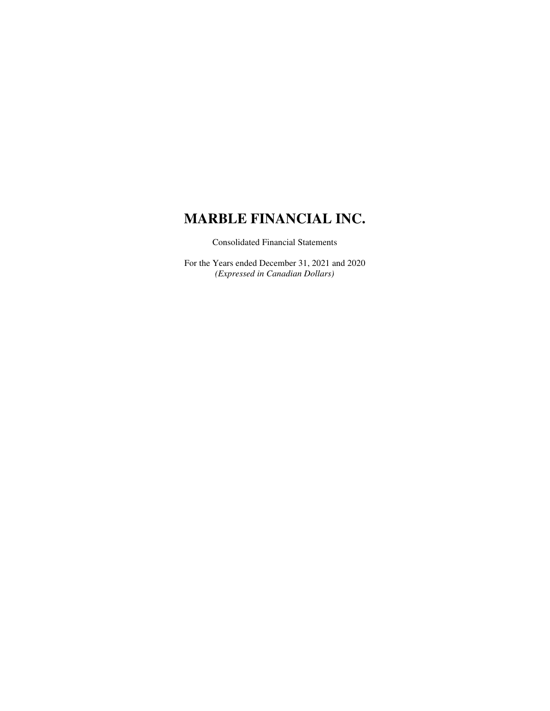Consolidated Financial Statements

For the Years ended December 31, 2021 and 2020 *(Expressed in Canadian Dollars)*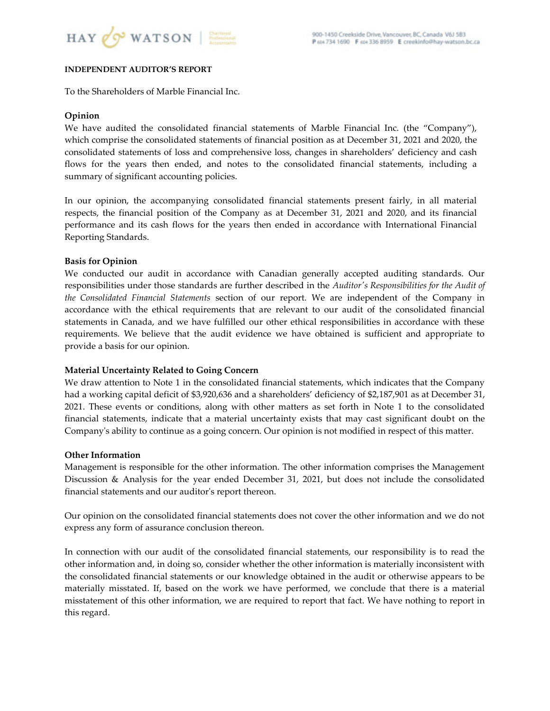

# **INDEPENDENT AUDITOR'S REPORT**

To the Shareholders of Marble Financial Inc.

# **Opinion**

We have audited the consolidated financial statements of Marble Financial Inc. (the "Company"), which comprise the consolidated statements of financial position as at December 31, 2021 and 2020, the consolidated statements of loss and comprehensive loss, changes in shareholders' deficiency and cash flows for the years then ended, and notes to the consolidated financial statements, including a summary of significant accounting policies.

In our opinion, the accompanying consolidated financial statements present fairly, in all material respects, the financial position of the Company as at December 31, 2021 and 2020, and its financial performance and its cash flows for the years then ended in accordance with International Financial Reporting Standards.

# **Basis for Opinion**

We conducted our audit in accordance with Canadian generally accepted auditing standards. Our responsibilities under those standards are further described in the *Auditor's Responsibilities for the Audit of the Consolidated Financial Statements* section of our report. We are independent of the Company in accordance with the ethical requirements that are relevant to our audit of the consolidated financial statements in Canada, and we have fulfilled our other ethical responsibilities in accordance with these requirements. We believe that the audit evidence we have obtained is sufficient and appropriate to provide a basis for our opinion.

# **Material Uncertainty Related to Going Concern**

We draw attention to Note 1 in the consolidated financial statements, which indicates that the Company had a working capital deficit of \$3,920,636 and a shareholders' deficiency of \$2,187,901 as at December 31, 2021. These events or conditions, along with other matters as set forth in Note 1 to the consolidated financial statements, indicate that a material uncertainty exists that may cast significant doubt on the Company's ability to continue as a going concern. Our opinion is not modified in respect of this matter.

# **Other Information**

Management is responsible for the other information. The other information comprises the Management Discussion & Analysis for the year ended December 31, 2021, but does not include the consolidated financial statements and our auditor's report thereon.

Our opinion on the consolidated financial statements does not cover the other information and we do not express any form of assurance conclusion thereon.

In connection with our audit of the consolidated financial statements, our responsibility is to read the other information and, in doing so, consider whether the other information is materially inconsistent with the consolidated financial statements or our knowledge obtained in the audit or otherwise appears to be materially misstated. If, based on the work we have performed, we conclude that there is a material misstatement of this other information, we are required to report that fact. We have nothing to report in this regard.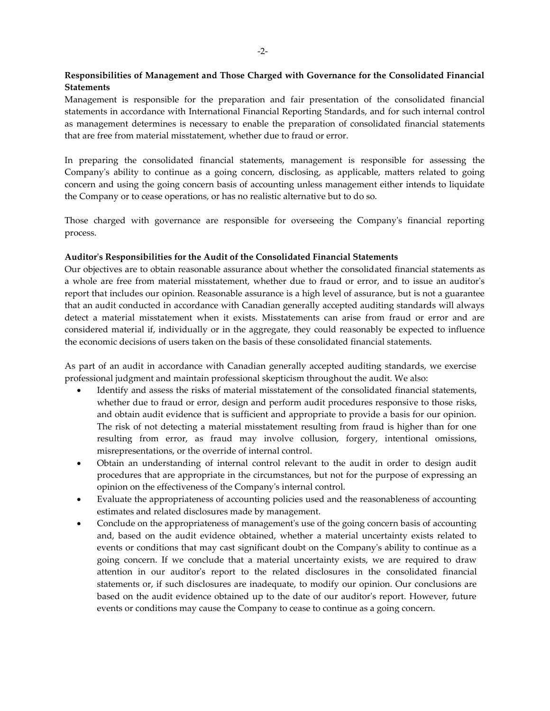# **Responsibilities of Management and Those Charged with Governance for the Consolidated Financial Statements**

Management is responsible for the preparation and fair presentation of the consolidated financial statements in accordance with International Financial Reporting Standards, and for such internal control as management determines is necessary to enable the preparation of consolidated financial statements that are free from material misstatement, whether due to fraud or error.

In preparing the consolidated financial statements, management is responsible for assessing the Company's ability to continue as a going concern, disclosing, as applicable, matters related to going concern and using the going concern basis of accounting unless management either intends to liquidate the Company or to cease operations, or has no realistic alternative but to do so.

Those charged with governance are responsible for overseeing the Company's financial reporting process.

# **Auditor's Responsibilities for the Audit of the Consolidated Financial Statements**

Our objectives are to obtain reasonable assurance about whether the consolidated financial statements as a whole are free from material misstatement, whether due to fraud or error, and to issue an auditor's report that includes our opinion. Reasonable assurance is a high level of assurance, but is not a guarantee that an audit conducted in accordance with Canadian generally accepted auditing standards will always detect a material misstatement when it exists. Misstatements can arise from fraud or error and are considered material if, individually or in the aggregate, they could reasonably be expected to influence the economic decisions of users taken on the basis of these consolidated financial statements.

As part of an audit in accordance with Canadian generally accepted auditing standards, we exercise professional judgment and maintain professional skepticism throughout the audit. We also:

- Identify and assess the risks of material misstatement of the consolidated financial statements, whether due to fraud or error, design and perform audit procedures responsive to those risks, and obtain audit evidence that is sufficient and appropriate to provide a basis for our opinion. The risk of not detecting a material misstatement resulting from fraud is higher than for one resulting from error, as fraud may involve collusion, forgery, intentional omissions, misrepresentations, or the override of internal control.
- Obtain an understanding of internal control relevant to the audit in order to design audit procedures that are appropriate in the circumstances, but not for the purpose of expressing an opinion on the effectiveness of the Company's internal control.
- Evaluate the appropriateness of accounting policies used and the reasonableness of accounting estimates and related disclosures made by management.
- Conclude on the appropriateness of management's use of the going concern basis of accounting and, based on the audit evidence obtained, whether a material uncertainty exists related to events or conditions that may cast significant doubt on the Company's ability to continue as a going concern. If we conclude that a material uncertainty exists, we are required to draw attention in our auditor's report to the related disclosures in the consolidated financial statements or, if such disclosures are inadequate, to modify our opinion. Our conclusions are based on the audit evidence obtained up to the date of our auditor's report. However, future events or conditions may cause the Company to cease to continue as a going concern.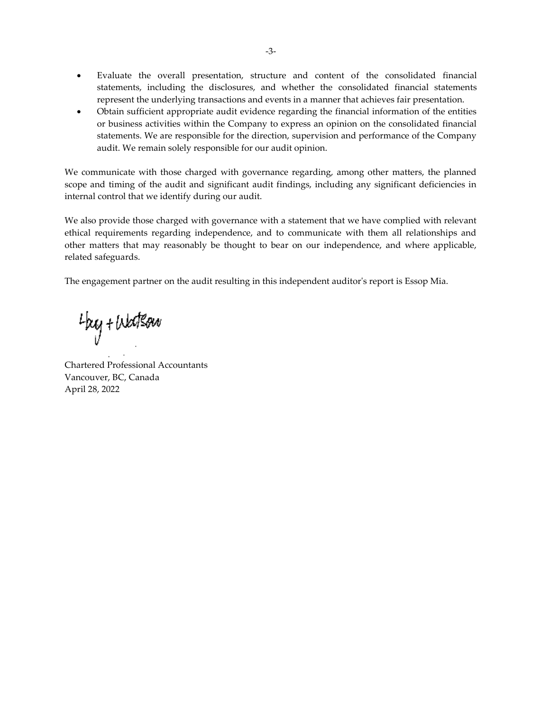- Evaluate the overall presentation, structure and content of the consolidated financial statements, including the disclosures, and whether the consolidated financial statements represent the underlying transactions and events in a manner that achieves fair presentation.
- Obtain sufficient appropriate audit evidence regarding the financial information of the entities or business activities within the Company to express an opinion on the consolidated financial statements. We are responsible for the direction, supervision and performance of the Company audit. We remain solely responsible for our audit opinion.

We communicate with those charged with governance regarding, among other matters, the planned scope and timing of the audit and significant audit findings, including any significant deficiencies in internal control that we identify during our audit.

We also provide those charged with governance with a statement that we have complied with relevant ethical requirements regarding independence, and to communicate with them all relationships and other matters that may reasonably be thought to bear on our independence, and where applicable, related safeguards.

The engagement partner on the audit resulting in this independent auditor's report is Essop Mia.

thy +Watsou

Chartered Professional Accountants Vancouver, BC, Canada April 28, 2022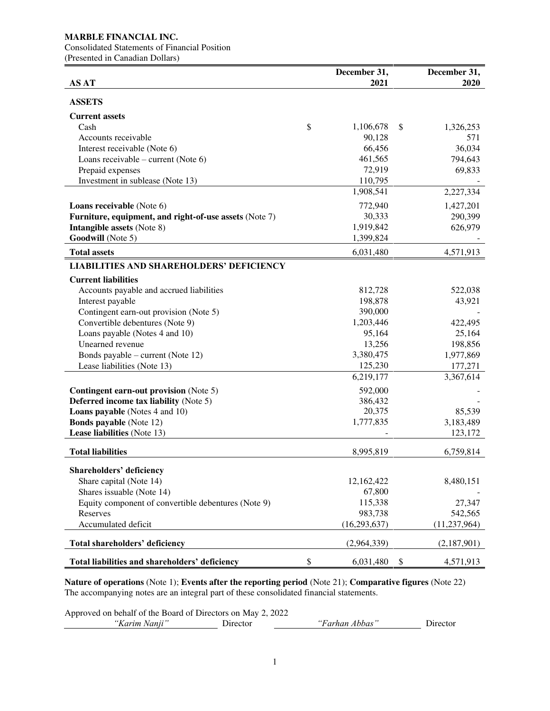# Consolidated Statements of Financial Position

(Presented in Canadian Dollars)

|                                                        | December 31,    | December 31,    |
|--------------------------------------------------------|-----------------|-----------------|
| AS AT                                                  | 2021            | 2020            |
| <b>ASSETS</b>                                          |                 |                 |
| <b>Current assets</b>                                  |                 |                 |
| Cash                                                   | \$<br>1,106,678 | \$<br>1,326,253 |
| Accounts receivable                                    | 90,128          | 571             |
| Interest receivable (Note 6)                           | 66,456          | 36,034          |
| Loans receivable – current (Note $6$ )                 | 461,565         | 794,643         |
| Prepaid expenses                                       | 72,919          | 69,833          |
| Investment in sublease (Note 13)                       | 110,795         |                 |
|                                                        | 1,908,541       | 2,227,334       |
| <b>Loans receivable</b> (Note 6)                       | 772,940         | 1,427,201       |
| Furniture, equipment, and right-of-use assets (Note 7) | 30,333          | 290,399         |
| <b>Intangible assets (Note 8)</b>                      | 1,919,842       | 626,979         |
| Goodwill (Note 5)                                      | 1,399,824       |                 |
| <b>Total assets</b>                                    | 6,031,480       | 4,571,913       |
| <b>LIABILITIES AND SHAREHOLDERS' DEFICIENCY</b>        |                 |                 |
| <b>Current liabilities</b>                             |                 |                 |
| Accounts payable and accrued liabilities               | 812,728         | 522,038         |
| Interest payable                                       | 198,878         | 43,921          |
| Contingent earn-out provision (Note 5)                 | 390,000         |                 |
| Convertible debentures (Note 9)                        | 1,203,446       | 422,495         |
| Loans payable (Notes 4 and 10)                         | 95,164          | 25,164          |
| Unearned revenue                                       | 13,256          | 198,856         |
| Bonds payable – current (Note 12)                      | 3,380,475       | 1,977,869       |
| Lease liabilities (Note 13)                            | 125,230         | 177,271         |
|                                                        | 6,219,177       | 3,367,614       |
| <b>Contingent earn-out provision</b> (Note 5)          | 592,000         |                 |
| <b>Deferred income tax liability (Note 5)</b>          | 386,432         |                 |
| Loans payable (Notes 4 and 10)                         | 20,375          | 85,539          |
| <b>Bonds payable</b> (Note 12)                         | 1,777,835       | 3,183,489       |
| Lease liabilities (Note 13)                            |                 | 123,172         |
| <b>Total liabilities</b>                               | 8,995,819       | 6,759,814       |
| <b>Shareholders' deficiency</b>                        |                 |                 |
| Share capital (Note 14)                                | 12,162,422      | 8,480,151       |
| Shares issuable (Note 14)                              | 67,800          |                 |
| Equity component of convertible debentures (Note 9)    | 115,338         | 27,347          |
| Reserves                                               | 983,738         | 542,565         |
| Accumulated deficit                                    | (16, 293, 637)  | (11, 237, 964)  |
| Total shareholders' deficiency                         | (2,964,339)     | (2,187,901)     |
|                                                        |                 |                 |
| Total liabilities and shareholders' deficiency         | \$<br>6,031,480 | \$<br>4,571,913 |

**Nature of operations** (Note 1); **Events after the reporting period** (Note 21); **Comparative figures** (Note 22) The accompanying notes are an integral part of these consolidated financial statements.

Approved on behalf of the Board of Directors on May 2, 2022

| $\sim$ $\sim$ $\sim$<br><br><br>------<br>wani<br>$_{l}$<br>__ | ) 1 r<br>. | $\sim$ $\sim$<br>Abbas<br>ın<br>,,,,,<br>" | $\sim$ + $\sim$ $\sim$<br>) 1 r<br>w. |
|----------------------------------------------------------------|------------|--------------------------------------------|---------------------------------------|
|                                                                |            |                                            |                                       |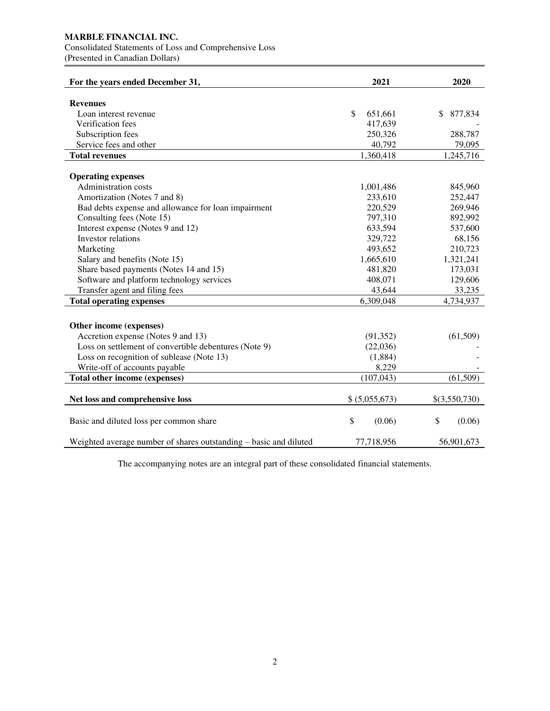Consolidated Statements of Loss and Comprehensive Loss (Presented in Canadian Dollars)

| For the years ended December 31,                                  | 2021                    | 2020          |
|-------------------------------------------------------------------|-------------------------|---------------|
| <b>Revenues</b>                                                   |                         |               |
| Loan interest revenue                                             | $\mathbb{S}$<br>651,661 | \$<br>877,834 |
| Verification fees                                                 | 417,639                 |               |
| Subscription fees                                                 | 250,326                 | 288,787       |
| Service fees and other                                            | 40,792                  | 79,095        |
| <b>Total revenues</b>                                             | 1,360,418               | 1,245,716     |
|                                                                   |                         |               |
| <b>Operating expenses</b>                                         |                         |               |
| Administration costs                                              | 1,001,486               | 845,960       |
| Amortization (Notes 7 and 8)                                      | 233,610                 | 252,447       |
| Bad debts expense and allowance for loan impairment               | 220,529                 | 269,946       |
| Consulting fees (Note 15)                                         | 797,310                 | 892,992       |
| Interest expense (Notes 9 and 12)                                 | 633,594                 | 537,600       |
| Investor relations                                                | 329,722                 | 68,156        |
| Marketing                                                         | 493,652                 | 210,723       |
| Salary and benefits (Note 15)                                     | 1,665,610               | 1,321,241     |
| Share based payments (Notes 14 and 15)                            | 481,820                 | 173,031       |
| Software and platform technology services                         | 408,071                 | 129,606       |
| Transfer agent and filing fees                                    | 43,644                  | 33,235        |
| <b>Total operating expenses</b>                                   | 6,309,048               | 4,734,937     |
|                                                                   |                         |               |
| Other income (expenses)                                           |                         |               |
| Accretion expense (Notes 9 and 13)                                | (91, 352)               | (61, 509)     |
| Loss on settlement of convertible debentures (Note 9)             | (22,036)                |               |
| Loss on recognition of sublease (Note 13)                         | (1,884)                 |               |
| Write-off of accounts payable                                     | 8,229                   |               |
| Total other income (expenses)                                     | (107, 043)              | (61,509)      |
| Net loss and comprehensive loss                                   | \$ (5,055,673)          | \$(3,550,730) |
| Basic and diluted loss per common share                           | \$<br>(0.06)            | \$<br>(0.06)  |
| Weighted average number of shares outstanding – basic and diluted | 77,718,956              | 56,901,673    |

The accompanying notes are an integral part of these consolidated financial statements.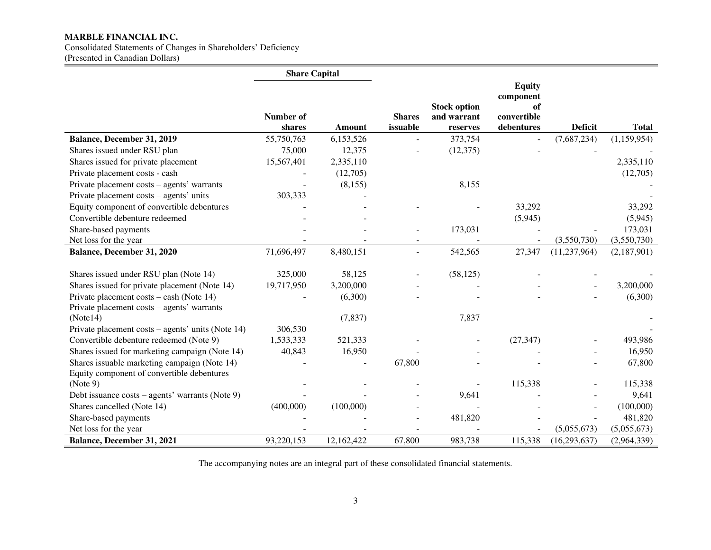Consolidated Statements of Changes in Shareholders' Deficiency (Presented in Canadian Dollars)

|                                                                                            | <b>Share Capital</b> |               |                           |                                                |                                                               |                |               |
|--------------------------------------------------------------------------------------------|----------------------|---------------|---------------------------|------------------------------------------------|---------------------------------------------------------------|----------------|---------------|
|                                                                                            | Number of<br>shares  | <b>Amount</b> | <b>Shares</b><br>issuable | <b>Stock option</b><br>and warrant<br>reserves | <b>Equity</b><br>component<br>of<br>convertible<br>debentures | <b>Deficit</b> | <b>Total</b>  |
| Balance, December 31, 2019                                                                 | 55,750,763           | 6,153,526     |                           | 373,754                                        |                                                               | (7,687,234)    | (1, 159, 954) |
| Shares issued under RSU plan                                                               | 75,000               | 12,375        |                           | (12,375)                                       |                                                               |                |               |
| Shares issued for private placement                                                        | 15,567,401           | 2,335,110     |                           |                                                |                                                               |                | 2,335,110     |
| Private placement costs - cash                                                             |                      | (12,705)      |                           |                                                |                                                               |                | (12,705)      |
| Private placement costs – agents' warrants                                                 |                      | (8, 155)      |                           | 8,155                                          |                                                               |                |               |
| Private placement costs – agents' units                                                    | 303,333              |               |                           |                                                |                                                               |                |               |
| Equity component of convertible debentures                                                 |                      |               |                           |                                                | 33,292                                                        |                | 33,292        |
| Convertible debenture redeemed                                                             |                      |               |                           |                                                | (5,945)                                                       |                | (5,945)       |
| Share-based payments                                                                       |                      |               | $\blacksquare$            | 173,031                                        |                                                               |                | 173,031       |
| Net loss for the year                                                                      |                      |               |                           |                                                |                                                               | (3,550,730)    | (3,550,730)   |
| Balance, December 31, 2020                                                                 | 71,696,497           | 8,480,151     | $\overline{a}$            | 542,565                                        | 27,347                                                        | (11, 237, 964) | (2,187,901)   |
| Shares issued under RSU plan (Note 14)                                                     | 325,000              | 58,125        |                           | (58, 125)                                      |                                                               |                |               |
| Shares issued for private placement (Note 14)                                              | 19,717,950           | 3,200,000     |                           |                                                |                                                               |                | 3,200,000     |
| Private placement costs $-\cosh(N_0)$<br>Private placement costs - agents' warrants        |                      | (6,300)       |                           |                                                |                                                               |                | (6,300)       |
| (Note14)                                                                                   |                      | (7, 837)      |                           | 7,837                                          |                                                               |                |               |
| Private placement costs – agents' units (Note 14)                                          | 306,530              |               |                           |                                                |                                                               |                |               |
| Convertible debenture redeemed (Note 9)                                                    | 1,533,333            | 521,333       |                           |                                                | (27, 347)                                                     |                | 493,986       |
| Shares issued for marketing campaign (Note 14)                                             | 40,843               | 16,950        |                           |                                                |                                                               |                | 16,950        |
| Shares issuable marketing campaign (Note 14)<br>Equity component of convertible debentures |                      |               | 67,800                    |                                                |                                                               |                | 67,800        |
| (Note 9)                                                                                   |                      |               |                           |                                                | 115,338                                                       |                | 115,338       |
| Debt issuance costs – agents' warrants (Note 9)                                            |                      |               |                           | 9,641                                          |                                                               |                | 9,641         |
| Shares cancelled (Note 14)                                                                 | (400,000)            | (100,000)     |                           |                                                |                                                               |                | (100,000)     |
| Share-based payments                                                                       |                      |               |                           | 481,820                                        |                                                               |                | 481,820       |
| Net loss for the year                                                                      |                      |               |                           |                                                |                                                               | (5,055,673)    | (5,055,673)   |
| Balance, December 31, 2021                                                                 | 93,220,153           | 12,162,422    | 67,800                    | 983,738                                        | 115,338                                                       | (16, 293, 637) | (2,964,339)   |

The accompanying notes are an integral part of these consolidated financial statements.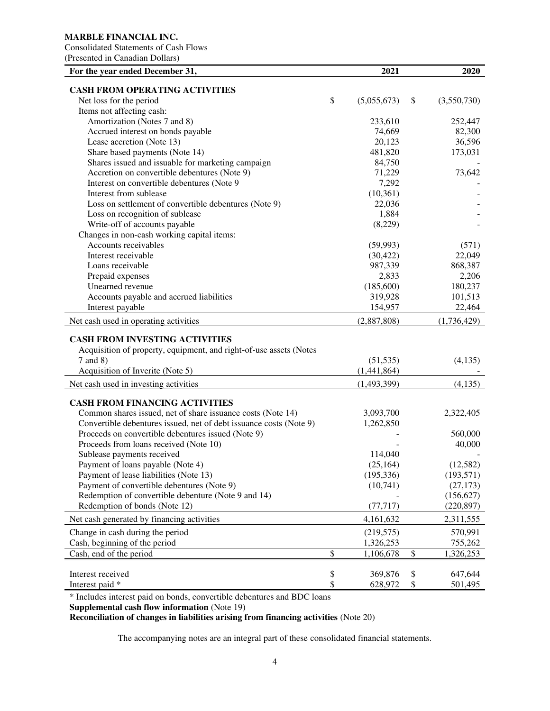| <b>Consolidated Statements of Cash Flows</b> |  |  |  |  |
|----------------------------------------------|--|--|--|--|
|                                              |  |  |  |  |

| (Presented in Canadian Dollars) |  |
|---------------------------------|--|
|                                 |  |

| For the year ended December 31,                                    |               | 2021        | 2020              |
|--------------------------------------------------------------------|---------------|-------------|-------------------|
| <b>CASH FROM OPERATING ACTIVITIES</b>                              |               |             |                   |
| Net loss for the period                                            | \$            | (5,055,673) | \$<br>(3,550,730) |
| Items not affecting cash:                                          |               |             |                   |
| Amortization (Notes 7 and 8)                                       |               | 233,610     | 252,447           |
| Accrued interest on bonds payable                                  |               | 74,669      | 82,300            |
| Lease accretion (Note 13)                                          |               | 20,123      | 36,596            |
| Share based payments (Note 14)                                     |               | 481,820     | 173,031           |
| Shares issued and issuable for marketing campaign                  |               | 84,750      |                   |
| Accretion on convertible debentures (Note 9)                       |               | 71,229      | 73,642            |
| Interest on convertible debentures (Note 9                         |               | 7,292       |                   |
| Interest from sublease                                             |               | (10, 361)   |                   |
| Loss on settlement of convertible debentures (Note 9)              |               | 22,036      |                   |
| Loss on recognition of sublease                                    |               | 1,884       |                   |
| Write-off of accounts payable                                      |               | (8,229)     |                   |
| Changes in non-cash working capital items:                         |               |             |                   |
| Accounts receivables                                               |               | (59, 993)   | (571)             |
| Interest receivable                                                |               | (30, 422)   | 22,049            |
| Loans receivable                                                   |               | 987,339     | 868,387           |
| Prepaid expenses                                                   |               | 2,833       | 2,206             |
| Unearned revenue                                                   |               | (185,600)   | 180,237           |
| Accounts payable and accrued liabilities                           |               | 319,928     | 101,513           |
| Interest payable                                                   |               | 154,957     | 22,464            |
| Net cash used in operating activities                              |               | (2,887,808) | (1,736,429)       |
|                                                                    |               |             |                   |
| <b>CASH FROM INVESTING ACTIVITIES</b>                              |               |             |                   |
| Acquisition of property, equipment, and right-of-use assets (Notes |               |             |                   |
| 7 and 8)                                                           |               | (51, 535)   | (4,135)           |
| Acquisition of Inverite (Note 5)                                   |               | (1,441,864) |                   |
| Net cash used in investing activities                              |               | (1,493,399) | (4,135)           |
| <b>CASH FROM FINANCING ACTIVITIES</b>                              |               |             |                   |
| Common shares issued, net of share issuance costs (Note 14)        |               | 3,093,700   | 2,322,405         |
| Convertible debentures issued, net of debt issuance costs (Note 9) |               | 1,262,850   |                   |
| Proceeds on convertible debentures issued (Note 9)                 |               |             | 560,000           |
| Proceeds from loans received (Note 10)                             |               |             | 40,000            |
| Sublease payments received                                         |               | 114,040     |                   |
| Payment of loans payable (Note 4)                                  |               | (25, 164)   | (12, 582)         |
| Payment of lease liabilities (Note 13)                             |               | (195, 336)  | (193, 571)        |
| Payment of convertible debentures (Note 9)                         |               | (10,741)    | (27, 173)         |
| Redemption of convertible debenture (Note 9 and 14)                |               |             | (156, 627)        |
| Redemption of bonds (Note 12)                                      |               | (77, 717)   | (220, 897)        |
| Net cash generated by financing activities                         |               | 4,161,632   | 2,311,555         |
| Change in cash during the period                                   |               | (219, 575)  | 570,991           |
| Cash, beginning of the period                                      |               | 1,326,253   | 755,262           |
| Cash, end of the period                                            | $\mathsf{\$}$ | 1,106,678   | \$<br>1,326,253   |
|                                                                    |               |             |                   |
| Interest received                                                  | \$            | 369,876     | \$<br>647,644     |
| Interest paid *                                                    | \$            | 628,972     | \$<br>501,495     |

\* Includes interest paid on bonds, convertible debentures and BDC loans

**Supplemental cash flow information** (Note 19)

**Reconciliation of changes in liabilities arising from financing activities** (Note 20)

The accompanying notes are an integral part of these consolidated financial statements.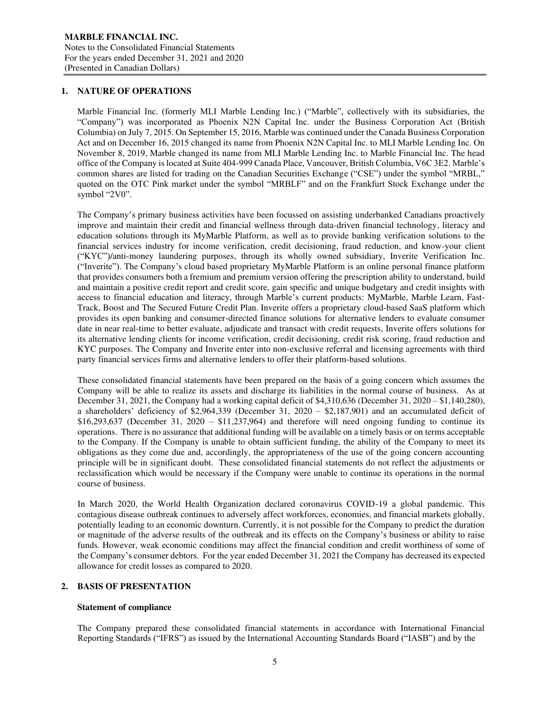# **1. NATURE OF OPERATIONS**

Marble Financial Inc. (formerly MLI Marble Lending Inc.) ("Marble", collectively with its subsidiaries, the "Company") was incorporated as Phoenix N2N Capital Inc. under the Business Corporation Act (British Columbia) on July 7, 2015. On September 15, 2016, Marble was continued under the Canada Business Corporation Act and on December 16, 2015 changed its name from Phoenix N2N Capital Inc. to MLI Marble Lending Inc. On November 8, 2019, Marble changed its name from MLI Marble Lending Inc. to Marble Financial Inc. The head office of the Company is located at Suite 404-999 Canada Place, Vancouver, British Columbia, V6C 3E2. Marble's common shares are listed for trading on the Canadian Securities Exchange ("CSE") under the symbol "MRBL," quoted on the OTC Pink market under the symbol "MRBLF" and on the Frankfurt Stock Exchange under the symbol "2V0".

The Company's primary business activities have been focussed on assisting underbanked Canadians proactively improve and maintain their credit and financial wellness through data-driven financial technology, literacy and education solutions through its MyMarble Platform, as well as to provide banking verification solutions to the financial services industry for income verification, credit decisioning, fraud reduction, and know-your client ("KYC")/anti-money laundering purposes, through its wholly owned subsidiary, Inverite Verification Inc. ("Inverite"). The Company's cloud based proprietary MyMarble Platform is an online personal finance platform that provides consumers both a fremium and premium version offering the prescription ability to understand, build and maintain a positive credit report and credit score, gain specific and unique budgetary and credit insights with access to financial education and literacy, through Marble's current products: MyMarble, Marble Learn, Fast-Track, Boost and The Secured Future Credit Plan. Inverite offers a proprietary cloud-based SaaS platform which provides its open banking and consumer-directed finance solutions for alternative lenders to evaluate consumer date in near real-time to better evaluate, adjudicate and transact with credit requests, Inverite offers solutions for its alternative lending clients for income verification, credit decisioning, credit risk scoring, fraud reduction and KYC purposes. The Company and Inverite enter into non-exclusive referral and licensing agreements with third party financial services firms and alternative lenders to offer their platform-based solutions.

These consolidated financial statements have been prepared on the basis of a going concern which assumes the Company will be able to realize its assets and discharge its liabilities in the normal course of business. As at December 31, 2021, the Company had a working capital deficit of \$4,310,636 (December 31, 2020 – \$1,140,280), a shareholders' deficiency of \$2,964,339 (December 31, 2020 – \$2,187,901) and an accumulated deficit of \$16,293,637 (December 31, 2020 – \$11,237,964) and therefore will need ongoing funding to continue its operations. There is no assurance that additional funding will be available on a timely basis or on terms acceptable to the Company. If the Company is unable to obtain sufficient funding, the ability of the Company to meet its obligations as they come due and, accordingly, the appropriateness of the use of the going concern accounting principle will be in significant doubt. These consolidated financial statements do not reflect the adjustments or reclassification which would be necessary if the Company were unable to continue its operations in the normal course of business.

In March 2020, the World Health Organization declared coronavirus COVID-19 a global pandemic. This contagious disease outbreak continues to adversely affect workforces, economies, and financial markets globally, potentially leading to an economic downturn. Currently, it is not possible for the Company to predict the duration or magnitude of the adverse results of the outbreak and its effects on the Company's business or ability to raise funds. However, weak economic conditions may affect the financial condition and credit worthiness of some of the Company's consumer debtors. For the year ended December 31, 2021 the Company has decreased its expected allowance for credit losses as compared to 2020.

# **2. BASIS OF PRESENTATION**

### **Statement of compliance**

The Company prepared these consolidated financial statements in accordance with International Financial Reporting Standards ("IFRS") as issued by the International Accounting Standards Board ("IASB") and by the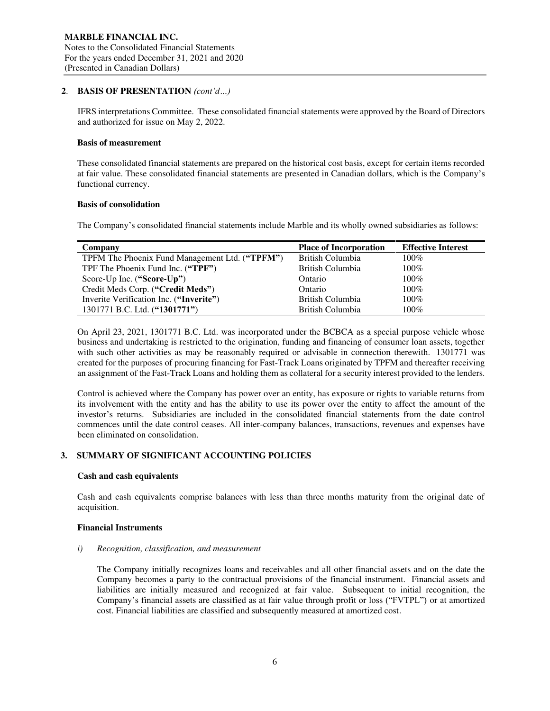# **2**. **BASIS OF PRESENTATION** *(cont'd…)*

IFRS interpretations Committee. These consolidated financial statements were approved by the Board of Directors and authorized for issue on May 2, 2022.

### **Basis of measurement**

These consolidated financial statements are prepared on the historical cost basis, except for certain items recorded at fair value. These consolidated financial statements are presented in Canadian dollars, which is the Company's functional currency.

### **Basis of consolidation**

The Company's consolidated financial statements include Marble and its wholly owned subsidiaries as follows:

| Company                                        | <b>Place of Incorporation</b> | <b>Effective Interest</b> |
|------------------------------------------------|-------------------------------|---------------------------|
| TPFM The Phoenix Fund Management Ltd. ("TPFM") | British Columbia              | $100\%$                   |
| TPF The Phoenix Fund Inc. ("TPF")              | British Columbia              | $100\%$                   |
| Score-Up Inc. ("Score-Up")                     | Ontario                       | $100\%$                   |
| Credit Meds Corp. ("Credit Meds")              | Ontario                       | $100\%$                   |
| Inverite Verification Inc. ("Inverite")        | British Columbia              | $100\%$                   |
| 1301771 B.C. Ltd. ("1301771")                  | British Columbia              | $100\%$                   |

On April 23, 2021, 1301771 B.C. Ltd. was incorporated under the BCBCA as a special purpose vehicle whose business and undertaking is restricted to the origination, funding and financing of consumer loan assets, together with such other activities as may be reasonably required or advisable in connection therewith. 1301771 was created for the purposes of procuring financing for Fast-Track Loans originated by TPFM and thereafter receiving an assignment of the Fast-Track Loans and holding them as collateral for a security interest provided to the lenders.

Control is achieved where the Company has power over an entity, has exposure or rights to variable returns from its involvement with the entity and has the ability to use its power over the entity to affect the amount of the investor's returns. Subsidiaries are included in the consolidated financial statements from the date control commences until the date control ceases. All inter-company balances, transactions, revenues and expenses have been eliminated on consolidation.

# **3. SUMMARY OF SIGNIFICANT ACCOUNTING POLICIES**

### **Cash and cash equivalents**

Cash and cash equivalents comprise balances with less than three months maturity from the original date of acquisition.

### **Financial Instruments**

### *i) Recognition, classification, and measurement*

The Company initially recognizes loans and receivables and all other financial assets and on the date the Company becomes a party to the contractual provisions of the financial instrument. Financial assets and liabilities are initially measured and recognized at fair value. Subsequent to initial recognition, the Company's financial assets are classified as at fair value through profit or loss ("FVTPL") or at amortized cost. Financial liabilities are classified and subsequently measured at amortized cost.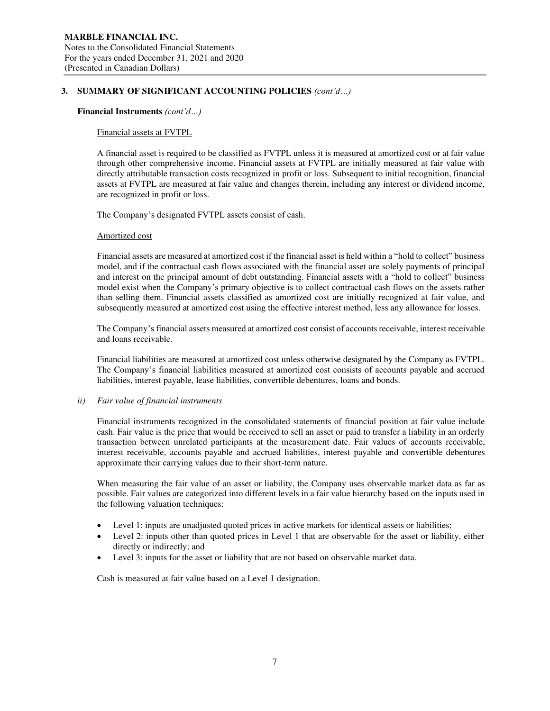# **Financial Instruments** *(cont'd…)*

# Financial assets at FVTPL

A financial asset is required to be classified as FVTPL unless it is measured at amortized cost or at fair value through other comprehensive income. Financial assets at FVTPL are initially measured at fair value with directly attributable transaction costs recognized in profit or loss. Subsequent to initial recognition, financial assets at FVTPL are measured at fair value and changes therein, including any interest or dividend income, are recognized in profit or loss.

The Company's designated FVTPL assets consist of cash.

# Amortized cost

Financial assets are measured at amortized cost if the financial asset is held within a "hold to collect" business model, and if the contractual cash flows associated with the financial asset are solely payments of principal and interest on the principal amount of debt outstanding. Financial assets with a "hold to collect" business model exist when the Company's primary objective is to collect contractual cash flows on the assets rather than selling them. Financial assets classified as amortized cost are initially recognized at fair value, and subsequently measured at amortized cost using the effective interest method, less any allowance for losses.

The Company's financial assets measured at amortized cost consist of accounts receivable, interest receivable and loans receivable.

Financial liabilities are measured at amortized cost unless otherwise designated by the Company as FVTPL. The Company's financial liabilities measured at amortized cost consists of accounts payable and accrued liabilities, interest payable, lease liabilities, convertible debentures, loans and bonds.

### *ii) Fair value of financial instruments*

Financial instruments recognized in the consolidated statements of financial position at fair value include cash. Fair value is the price that would be received to sell an asset or paid to transfer a liability in an orderly transaction between unrelated participants at the measurement date. Fair values of accounts receivable, interest receivable, accounts payable and accrued liabilities, interest payable and convertible debentures approximate their carrying values due to their short-term nature.

When measuring the fair value of an asset or liability, the Company uses observable market data as far as possible. Fair values are categorized into different levels in a fair value hierarchy based on the inputs used in the following valuation techniques:

- Level 1: inputs are unadjusted quoted prices in active markets for identical assets or liabilities;
- Level 2: inputs other than quoted prices in Level 1 that are observable for the asset or liability, either directly or indirectly; and
- Level 3: inputs for the asset or liability that are not based on observable market data.

Cash is measured at fair value based on a Level 1 designation.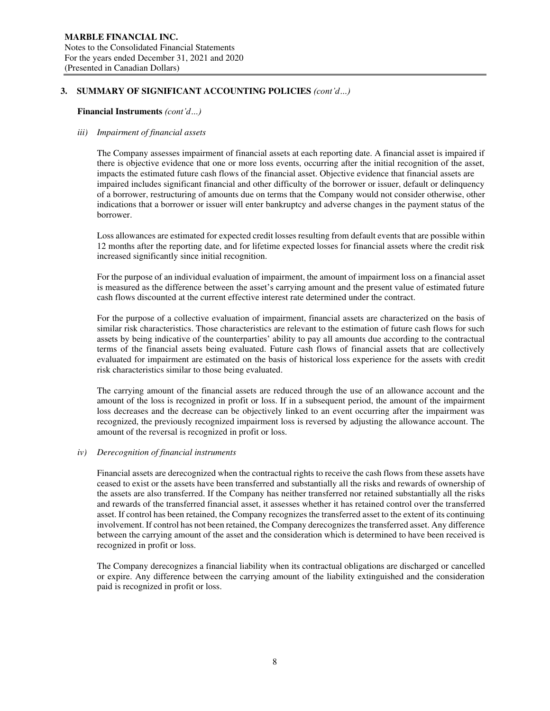# **Financial Instruments** *(cont'd…)*

### *iii) Impairment of financial assets*

The Company assesses impairment of financial assets at each reporting date. A financial asset is impaired if there is objective evidence that one or more loss events, occurring after the initial recognition of the asset, impacts the estimated future cash flows of the financial asset. Objective evidence that financial assets are impaired includes significant financial and other difficulty of the borrower or issuer, default or delinquency of a borrower, restructuring of amounts due on terms that the Company would not consider otherwise, other indications that a borrower or issuer will enter bankruptcy and adverse changes in the payment status of the borrower.

Loss allowances are estimated for expected credit losses resulting from default events that are possible within 12 months after the reporting date, and for lifetime expected losses for financial assets where the credit risk increased significantly since initial recognition.

For the purpose of an individual evaluation of impairment, the amount of impairment loss on a financial asset is measured as the difference between the asset's carrying amount and the present value of estimated future cash flows discounted at the current effective interest rate determined under the contract.

For the purpose of a collective evaluation of impairment, financial assets are characterized on the basis of similar risk characteristics. Those characteristics are relevant to the estimation of future cash flows for such assets by being indicative of the counterparties' ability to pay all amounts due according to the contractual terms of the financial assets being evaluated. Future cash flows of financial assets that are collectively evaluated for impairment are estimated on the basis of historical loss experience for the assets with credit risk characteristics similar to those being evaluated.

The carrying amount of the financial assets are reduced through the use of an allowance account and the amount of the loss is recognized in profit or loss. If in a subsequent period, the amount of the impairment loss decreases and the decrease can be objectively linked to an event occurring after the impairment was recognized, the previously recognized impairment loss is reversed by adjusting the allowance account. The amount of the reversal is recognized in profit or loss.

### *iv) Derecognition of financial instruments*

Financial assets are derecognized when the contractual rights to receive the cash flows from these assets have ceased to exist or the assets have been transferred and substantially all the risks and rewards of ownership of the assets are also transferred. If the Company has neither transferred nor retained substantially all the risks and rewards of the transferred financial asset, it assesses whether it has retained control over the transferred asset. If control has been retained, the Company recognizes the transferred asset to the extent of its continuing involvement. If control has not been retained, the Company derecognizes the transferred asset. Any difference between the carrying amount of the asset and the consideration which is determined to have been received is recognized in profit or loss.

The Company derecognizes a financial liability when its contractual obligations are discharged or cancelled or expire. Any difference between the carrying amount of the liability extinguished and the consideration paid is recognized in profit or loss.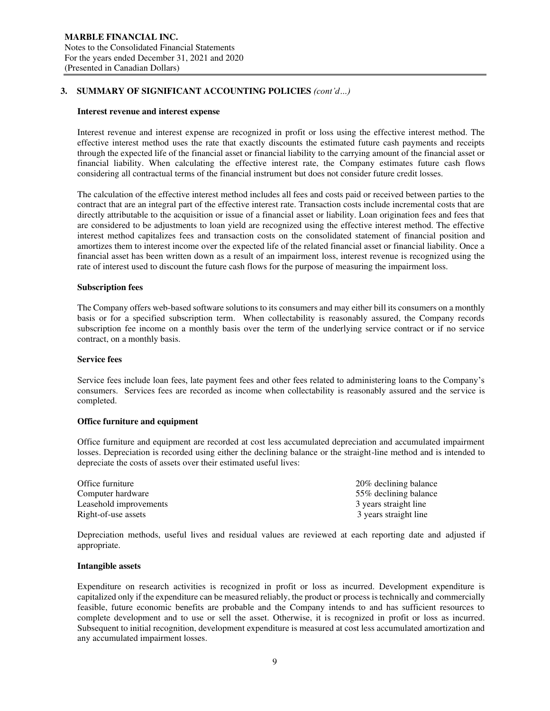#### **Interest revenue and interest expense**

Interest revenue and interest expense are recognized in profit or loss using the effective interest method. The effective interest method uses the rate that exactly discounts the estimated future cash payments and receipts through the expected life of the financial asset or financial liability to the carrying amount of the financial asset or financial liability. When calculating the effective interest rate, the Company estimates future cash flows considering all contractual terms of the financial instrument but does not consider future credit losses.

The calculation of the effective interest method includes all fees and costs paid or received between parties to the contract that are an integral part of the effective interest rate. Transaction costs include incremental costs that are directly attributable to the acquisition or issue of a financial asset or liability. Loan origination fees and fees that are considered to be adjustments to loan yield are recognized using the effective interest method. The effective interest method capitalizes fees and transaction costs on the consolidated statement of financial position and amortizes them to interest income over the expected life of the related financial asset or financial liability. Once a financial asset has been written down as a result of an impairment loss, interest revenue is recognized using the rate of interest used to discount the future cash flows for the purpose of measuring the impairment loss.

#### **Subscription fees**

The Company offers web-based software solutions to its consumers and may either bill its consumers on a monthly basis or for a specified subscription term. When collectability is reasonably assured, the Company records subscription fee income on a monthly basis over the term of the underlying service contract or if no service contract, on a monthly basis.

#### **Service fees**

Service fees include loan fees, late payment fees and other fees related to administering loans to the Company's consumers. Services fees are recorded as income when collectability is reasonably assured and the service is completed.

#### **Office furniture and equipment**

Office furniture and equipment are recorded at cost less accumulated depreciation and accumulated impairment losses. Depreciation is recorded using either the declining balance or the straight-line method and is intended to depreciate the costs of assets over their estimated useful lives:

Office furniture 20% declining balance Computer hardware 55% declining balance<br>
Leasehold improvements 3 years straight line Leasehold improvements<br>Right-of-use assets 3 years straight line

Depreciation methods, useful lives and residual values are reviewed at each reporting date and adjusted if appropriate.

#### **Intangible assets**

Expenditure on research activities is recognized in profit or loss as incurred. Development expenditure is capitalized only if the expenditure can be measured reliably, the product or process is technically and commercially feasible, future economic benefits are probable and the Company intends to and has sufficient resources to complete development and to use or sell the asset. Otherwise, it is recognized in profit or loss as incurred. Subsequent to initial recognition, development expenditure is measured at cost less accumulated amortization and any accumulated impairment losses.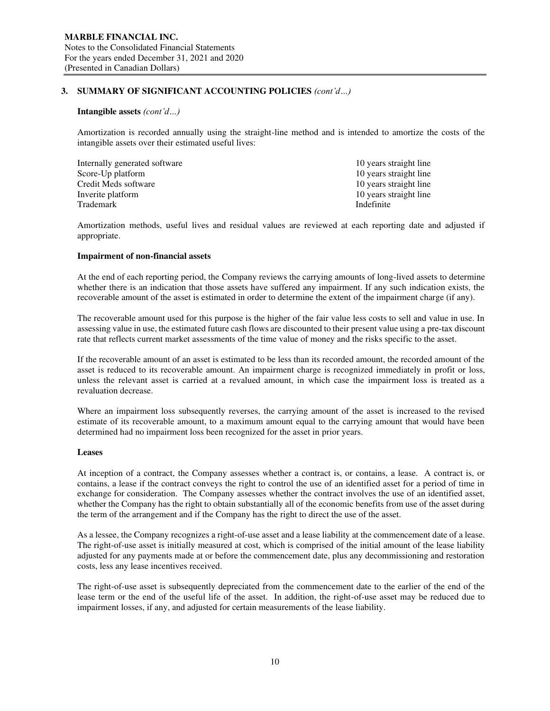### **Intangible assets** *(cont'd…)*

Amortization is recorded annually using the straight-line method and is intended to amortize the costs of the intangible assets over their estimated useful lives:

| Internally generated software | 10 years straight line |
|-------------------------------|------------------------|
| Score-Up platform             | 10 years straight line |
| Credit Meds software          | 10 years straight line |
| Inverite platform             | 10 years straight line |
| Trademark                     | Indefinite             |

Amortization methods, useful lives and residual values are reviewed at each reporting date and adjusted if appropriate.

# **Impairment of non-financial assets**

At the end of each reporting period, the Company reviews the carrying amounts of long-lived assets to determine whether there is an indication that those assets have suffered any impairment. If any such indication exists, the recoverable amount of the asset is estimated in order to determine the extent of the impairment charge (if any).

The recoverable amount used for this purpose is the higher of the fair value less costs to sell and value in use. In assessing value in use, the estimated future cash flows are discounted to their present value using a pre-tax discount rate that reflects current market assessments of the time value of money and the risks specific to the asset.

If the recoverable amount of an asset is estimated to be less than its recorded amount, the recorded amount of the asset is reduced to its recoverable amount. An impairment charge is recognized immediately in profit or loss, unless the relevant asset is carried at a revalued amount, in which case the impairment loss is treated as a revaluation decrease.

Where an impairment loss subsequently reverses, the carrying amount of the asset is increased to the revised estimate of its recoverable amount, to a maximum amount equal to the carrying amount that would have been determined had no impairment loss been recognized for the asset in prior years.

#### **Leases**

At inception of a contract, the Company assesses whether a contract is, or contains, a lease. A contract is, or contains, a lease if the contract conveys the right to control the use of an identified asset for a period of time in exchange for consideration. The Company assesses whether the contract involves the use of an identified asset, whether the Company has the right to obtain substantially all of the economic benefits from use of the asset during the term of the arrangement and if the Company has the right to direct the use of the asset.

As a lessee, the Company recognizes a right-of-use asset and a lease liability at the commencement date of a lease. The right-of-use asset is initially measured at cost, which is comprised of the initial amount of the lease liability adjusted for any payments made at or before the commencement date, plus any decommissioning and restoration costs, less any lease incentives received.

The right-of-use asset is subsequently depreciated from the commencement date to the earlier of the end of the lease term or the end of the useful life of the asset. In addition, the right-of-use asset may be reduced due to impairment losses, if any, and adjusted for certain measurements of the lease liability.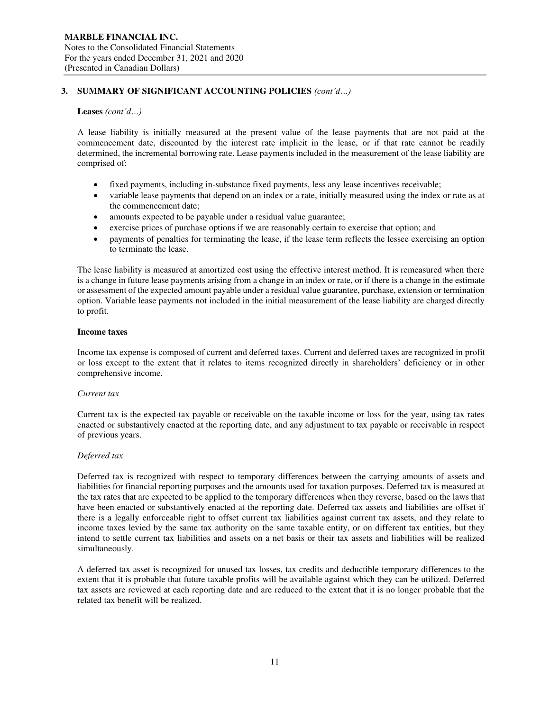# **Leases** *(cont'd…)*

A lease liability is initially measured at the present value of the lease payments that are not paid at the commencement date, discounted by the interest rate implicit in the lease, or if that rate cannot be readily determined, the incremental borrowing rate. Lease payments included in the measurement of the lease liability are comprised of:

- fixed payments, including in-substance fixed payments, less any lease incentives receivable;
- variable lease payments that depend on an index or a rate, initially measured using the index or rate as at the commencement date;
- amounts expected to be payable under a residual value guarantee;
- exercise prices of purchase options if we are reasonably certain to exercise that option; and
- payments of penalties for terminating the lease, if the lease term reflects the lessee exercising an option to terminate the lease.

The lease liability is measured at amortized cost using the effective interest method. It is remeasured when there is a change in future lease payments arising from a change in an index or rate, or if there is a change in the estimate or assessment of the expected amount payable under a residual value guarantee, purchase, extension or termination option. Variable lease payments not included in the initial measurement of the lease liability are charged directly to profit.

### **Income taxes**

Income tax expense is composed of current and deferred taxes. Current and deferred taxes are recognized in profit or loss except to the extent that it relates to items recognized directly in shareholders' deficiency or in other comprehensive income.

### *Current tax*

Current tax is the expected tax payable or receivable on the taxable income or loss for the year, using tax rates enacted or substantively enacted at the reporting date, and any adjustment to tax payable or receivable in respect of previous years.

### *Deferred tax*

Deferred tax is recognized with respect to temporary differences between the carrying amounts of assets and liabilities for financial reporting purposes and the amounts used for taxation purposes. Deferred tax is measured at the tax rates that are expected to be applied to the temporary differences when they reverse, based on the laws that have been enacted or substantively enacted at the reporting date. Deferred tax assets and liabilities are offset if there is a legally enforceable right to offset current tax liabilities against current tax assets, and they relate to income taxes levied by the same tax authority on the same taxable entity, or on different tax entities, but they intend to settle current tax liabilities and assets on a net basis or their tax assets and liabilities will be realized simultaneously.

A deferred tax asset is recognized for unused tax losses, tax credits and deductible temporary differences to the extent that it is probable that future taxable profits will be available against which they can be utilized. Deferred tax assets are reviewed at each reporting date and are reduced to the extent that it is no longer probable that the related tax benefit will be realized.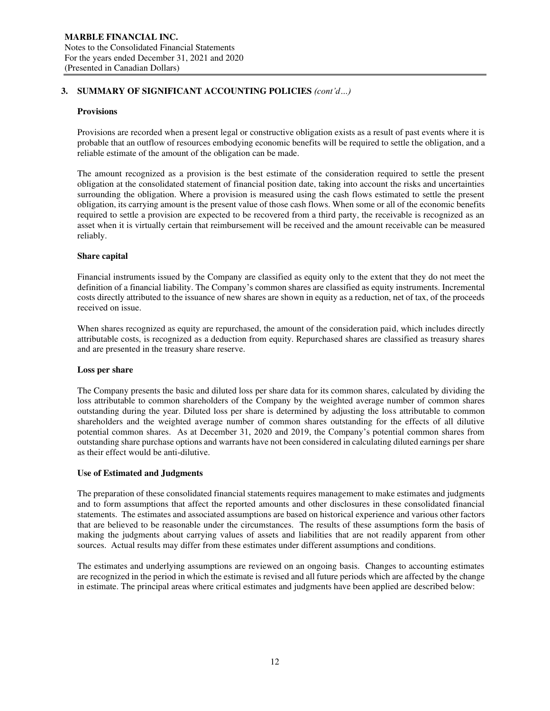# **Provisions**

Provisions are recorded when a present legal or constructive obligation exists as a result of past events where it is probable that an outflow of resources embodying economic benefits will be required to settle the obligation, and a reliable estimate of the amount of the obligation can be made.

The amount recognized as a provision is the best estimate of the consideration required to settle the present obligation at the consolidated statement of financial position date, taking into account the risks and uncertainties surrounding the obligation. Where a provision is measured using the cash flows estimated to settle the present obligation, its carrying amount is the present value of those cash flows. When some or all of the economic benefits required to settle a provision are expected to be recovered from a third party, the receivable is recognized as an asset when it is virtually certain that reimbursement will be received and the amount receivable can be measured reliably.

### **Share capital**

Financial instruments issued by the Company are classified as equity only to the extent that they do not meet the definition of a financial liability. The Company's common shares are classified as equity instruments. Incremental costs directly attributed to the issuance of new shares are shown in equity as a reduction, net of tax, of the proceeds received on issue.

When shares recognized as equity are repurchased, the amount of the consideration paid, which includes directly attributable costs, is recognized as a deduction from equity. Repurchased shares are classified as treasury shares and are presented in the treasury share reserve.

### **Loss per share**

The Company presents the basic and diluted loss per share data for its common shares, calculated by dividing the loss attributable to common shareholders of the Company by the weighted average number of common shares outstanding during the year. Diluted loss per share is determined by adjusting the loss attributable to common shareholders and the weighted average number of common shares outstanding for the effects of all dilutive potential common shares. As at December 31, 2020 and 2019, the Company's potential common shares from outstanding share purchase options and warrants have not been considered in calculating diluted earnings per share as their effect would be anti-dilutive.

### **Use of Estimated and Judgments**

The preparation of these consolidated financial statements requires management to make estimates and judgments and to form assumptions that affect the reported amounts and other disclosures in these consolidated financial statements. The estimates and associated assumptions are based on historical experience and various other factors that are believed to be reasonable under the circumstances. The results of these assumptions form the basis of making the judgments about carrying values of assets and liabilities that are not readily apparent from other sources. Actual results may differ from these estimates under different assumptions and conditions.

The estimates and underlying assumptions are reviewed on an ongoing basis. Changes to accounting estimates are recognized in the period in which the estimate is revised and all future periods which are affected by the change in estimate. The principal areas where critical estimates and judgments have been applied are described below: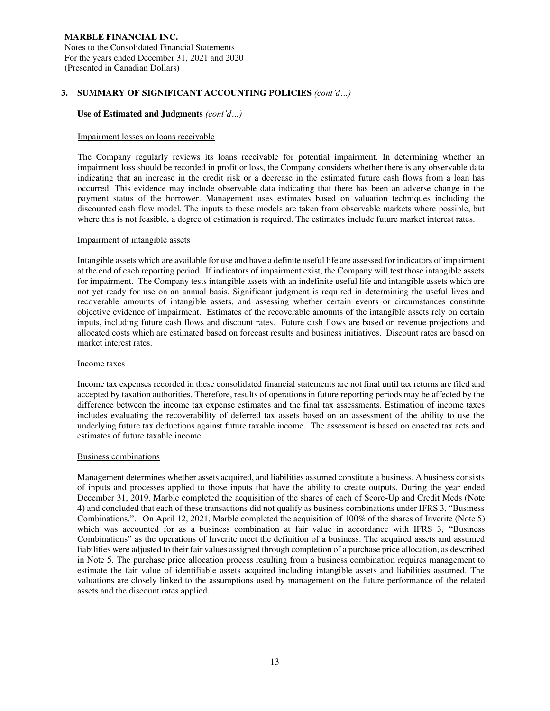### **Use of Estimated and Judgments** *(cont'd…)*

#### Impairment losses on loans receivable

The Company regularly reviews its loans receivable for potential impairment. In determining whether an impairment loss should be recorded in profit or loss, the Company considers whether there is any observable data indicating that an increase in the credit risk or a decrease in the estimated future cash flows from a loan has occurred. This evidence may include observable data indicating that there has been an adverse change in the payment status of the borrower. Management uses estimates based on valuation techniques including the discounted cash flow model. The inputs to these models are taken from observable markets where possible, but where this is not feasible, a degree of estimation is required. The estimates include future market interest rates.

#### Impairment of intangible assets

Intangible assets which are available for use and have a definite useful life are assessed for indicators of impairment at the end of each reporting period. If indicators of impairment exist, the Company will test those intangible assets for impairment. The Company tests intangible assets with an indefinite useful life and intangible assets which are not yet ready for use on an annual basis. Significant judgment is required in determining the useful lives and recoverable amounts of intangible assets, and assessing whether certain events or circumstances constitute objective evidence of impairment. Estimates of the recoverable amounts of the intangible assets rely on certain inputs, including future cash flows and discount rates. Future cash flows are based on revenue projections and allocated costs which are estimated based on forecast results and business initiatives. Discount rates are based on market interest rates.

#### Income taxes

Income tax expenses recorded in these consolidated financial statements are not final until tax returns are filed and accepted by taxation authorities. Therefore, results of operations in future reporting periods may be affected by the difference between the income tax expense estimates and the final tax assessments. Estimation of income taxes includes evaluating the recoverability of deferred tax assets based on an assessment of the ability to use the underlying future tax deductions against future taxable income. The assessment is based on enacted tax acts and estimates of future taxable income.

#### Business combinations

Management determines whether assets acquired, and liabilities assumed constitute a business. A business consists of inputs and processes applied to those inputs that have the ability to create outputs. During the year ended December 31, 2019, Marble completed the acquisition of the shares of each of Score-Up and Credit Meds (Note 4) and concluded that each of these transactions did not qualify as business combinations under IFRS 3, "Business Combinations.". On April 12, 2021, Marble completed the acquisition of 100% of the shares of Inverite (Note 5) which was accounted for as a business combination at fair value in accordance with IFRS 3, "Business" Combinations" as the operations of Inverite meet the definition of a business. The acquired assets and assumed liabilities were adjusted to their fair values assigned through completion of a purchase price allocation, as described in Note 5. The purchase price allocation process resulting from a business combination requires management to estimate the fair value of identifiable assets acquired including intangible assets and liabilities assumed. The valuations are closely linked to the assumptions used by management on the future performance of the related assets and the discount rates applied.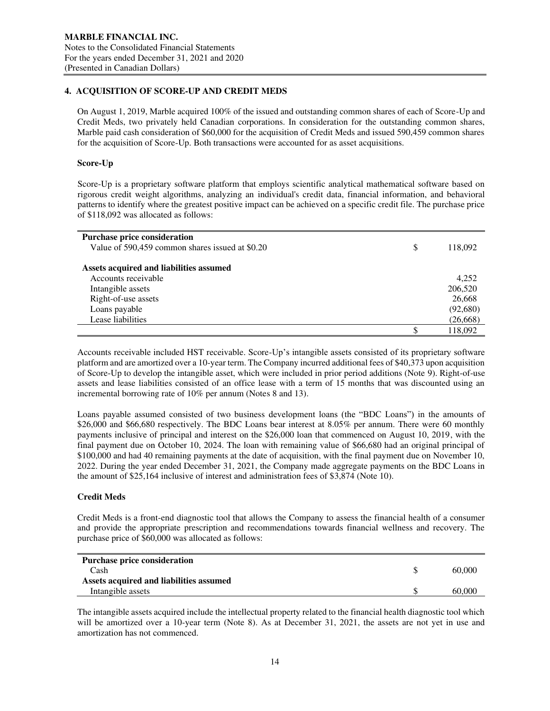# **4. ACQUISITION OF SCORE-UP AND CREDIT MEDS**

On August 1, 2019, Marble acquired 100% of the issued and outstanding common shares of each of Score-Up and Credit Meds, two privately held Canadian corporations. In consideration for the outstanding common shares, Marble paid cash consideration of \$60,000 for the acquisition of Credit Meds and issued 590,459 common shares for the acquisition of Score-Up. Both transactions were accounted for as asset acquisitions.

# **Score-Up**

Score-Up is a proprietary software platform that employs scientific analytical mathematical software based on rigorous credit weight algorithms, analyzing an individual's credit data, financial information, and behavioral patterns to identify where the greatest positive impact can be achieved on a specific credit file. The purchase price of \$118,092 was allocated as follows:

| Purchase price consideration                    |               |
|-------------------------------------------------|---------------|
| Value of 590,459 common shares issued at \$0.20 | \$<br>118,092 |
|                                                 |               |
| Assets acquired and liabilities assumed         |               |
| Accounts receivable                             | 4,252         |
| Intangible assets                               | 206,520       |
| Right-of-use assets                             | 26,668        |
| Loans payable                                   | (92,680)      |
| Lease liabilities                               | (26, 668)     |
|                                                 | 118,092       |

Accounts receivable included HST receivable. Score-Up's intangible assets consisted of its proprietary software platform and are amortized over a 10-year term. The Company incurred additional fees of \$40,373 upon acquisition of Score-Up to develop the intangible asset, which were included in prior period additions (Note 9). Right-of-use assets and lease liabilities consisted of an office lease with a term of 15 months that was discounted using an incremental borrowing rate of 10% per annum (Notes 8 and 13).

Loans payable assumed consisted of two business development loans (the "BDC Loans") in the amounts of \$26,000 and \$66,680 respectively. The BDC Loans bear interest at 8.05% per annum. There were 60 monthly payments inclusive of principal and interest on the \$26,000 loan that commenced on August 10, 2019, with the final payment due on October 10, 2024. The loan with remaining value of \$66,680 had an original principal of \$100,000 and had 40 remaining payments at the date of acquisition, with the final payment due on November 10, 2022. During the year ended December 31, 2021, the Company made aggregate payments on the BDC Loans in the amount of \$25,164 inclusive of interest and administration fees of \$3,874 (Note 10).

### **Credit Meds**

Credit Meds is a front-end diagnostic tool that allows the Company to assess the financial health of a consumer and provide the appropriate prescription and recommendations towards financial wellness and recovery. The purchase price of \$60,000 was allocated as follows:

| <b>Purchase price consideration</b>     |        |
|-----------------------------------------|--------|
| Cash                                    | 60,000 |
| Assets acquired and liabilities assumed |        |
| Intangible assets                       | 60,000 |

The intangible assets acquired include the intellectual property related to the financial health diagnostic tool which will be amortized over a 10-year term (Note 8). As at December 31, 2021, the assets are not yet in use and amortization has not commenced.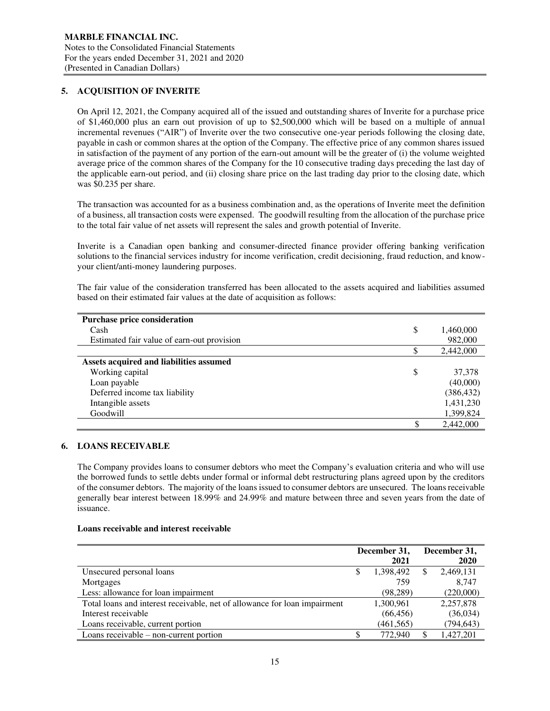# **5. ACQUISITION OF INVERITE**

On April 12, 2021, the Company acquired all of the issued and outstanding shares of Inverite for a purchase price of \$1,460,000 plus an earn out provision of up to \$2,500,000 which will be based on a multiple of annual incremental revenues ("AIR") of Inverite over the two consecutive one-year periods following the closing date, payable in cash or common shares at the option of the Company. The effective price of any common shares issued in satisfaction of the payment of any portion of the earn-out amount will be the greater of (i) the volume weighted average price of the common shares of the Company for the 10 consecutive trading days preceding the last day of the applicable earn-out period, and (ii) closing share price on the last trading day prior to the closing date, which was \$0.235 per share.

The transaction was accounted for as a business combination and, as the operations of Inverite meet the definition of a business, all transaction costs were expensed. The goodwill resulting from the allocation of the purchase price to the total fair value of net assets will represent the sales and growth potential of Inverite.

Inverite is a Canadian open banking and consumer-directed finance provider offering banking verification solutions to the financial services industry for income verification, credit decisioning, fraud reduction, and knowyour client/anti-money laundering purposes.

The fair value of the consideration transferred has been allocated to the assets acquired and liabilities assumed based on their estimated fair values at the date of acquisition as follows:

| <b>Purchase price consideration</b>        |    |            |
|--------------------------------------------|----|------------|
| Cash                                       | \$ | 1,460,000  |
| Estimated fair value of earn-out provision |    | 982,000    |
|                                            | ¢  | 2,442,000  |
| Assets acquired and liabilities assumed    |    |            |
| Working capital                            | \$ | 37,378     |
| Loan payable                               |    | (40,000)   |
| Deferred income tax liability              |    | (386, 432) |
| Intangible assets                          |    | 1,431,230  |
| Goodwill                                   |    | 1,399,824  |
|                                            | \$ | 2.442,000  |

# **6. LOANS RECEIVABLE**

The Company provides loans to consumer debtors who meet the Company's evaluation criteria and who will use the borrowed funds to settle debts under formal or informal debt restructuring plans agreed upon by the creditors of the consumer debtors. The majority of the loans issued to consumer debtors are unsecured. The loans receivable generally bear interest between 18.99% and 24.99% and mature between three and seven years from the date of issuance.

# **Loans receivable and interest receivable**

|                                                                           |   | December 31,<br>2021 |   | December 31,<br>2020 |
|---------------------------------------------------------------------------|---|----------------------|---|----------------------|
| Unsecured personal loans                                                  | S | 1,398,492            | S | 2,469,131            |
| Mortgages                                                                 |   | 759                  |   | 8.747                |
| Less: allowance for loan impairment                                       |   | (98, 289)            |   | (220,000)            |
| Total loans and interest receivable, net of allowance for loan impairment |   | 1,300,961            |   | 2,257,878            |
| Interest receivable                                                       |   | (66, 456)            |   | (36,034)             |
| Loans receivable, current portion                                         |   | (461, 565)           |   | (794,643)            |
| Loans receivable $-$ non-current portion                                  |   | 772,940              |   | 1,427,201            |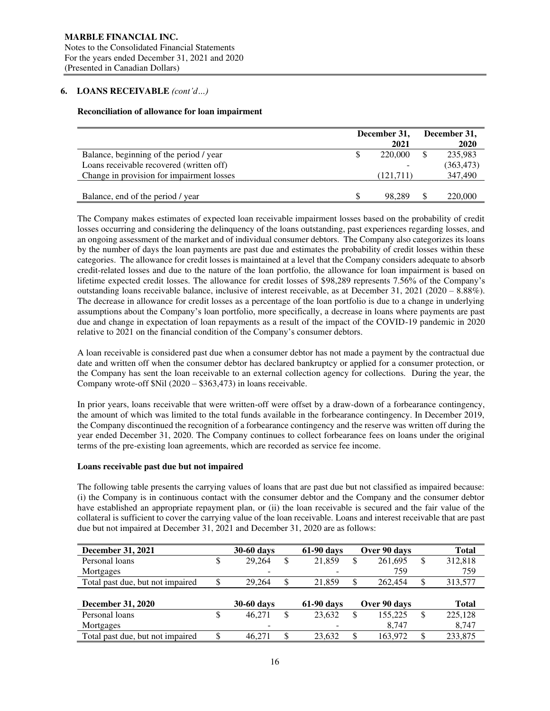# **6. LOANS RECEIVABLE** *(cont'd…)*

### **Reconciliation of allowance for loan impairment**

|                                           | December 31, |           |  | December 31, |
|-------------------------------------------|--------------|-----------|--|--------------|
|                                           |              | 2021      |  | 2020         |
| Balance, beginning of the period / year   |              | 220,000   |  | 235,983      |
| Loans receivable recovered (written off)  |              |           |  | (363, 473)   |
| Change in provision for impairment losses |              | (121,711) |  | 347,490      |
|                                           |              |           |  |              |
| Balance, end of the period / year         |              | 98.289    |  | 220,000      |

The Company makes estimates of expected loan receivable impairment losses based on the probability of credit losses occurring and considering the delinquency of the loans outstanding, past experiences regarding losses, and an ongoing assessment of the market and of individual consumer debtors. The Company also categorizes its loans by the number of days the loan payments are past due and estimates the probability of credit losses within these categories. The allowance for credit losses is maintained at a level that the Company considers adequate to absorb credit-related losses and due to the nature of the loan portfolio, the allowance for loan impairment is based on lifetime expected credit losses. The allowance for credit losses of \$98,289 represents 7.56% of the Company's outstanding loans receivable balance, inclusive of interest receivable, as at December 31, 2021 (2020 – 8.88%). The decrease in allowance for credit losses as a percentage of the loan portfolio is due to a change in underlying assumptions about the Company's loan portfolio, more specifically, a decrease in loans where payments are past due and change in expectation of loan repayments as a result of the impact of the COVID-19 pandemic in 2020 relative to 2021 on the financial condition of the Company's consumer debtors.

A loan receivable is considered past due when a consumer debtor has not made a payment by the contractual due date and written off when the consumer debtor has declared bankruptcy or applied for a consumer protection, or the Company has sent the loan receivable to an external collection agency for collections. During the year, the Company wrote-off \$Nil (2020 – \$363,473) in loans receivable.

In prior years, loans receivable that were written-off were offset by a draw-down of a forbearance contingency, the amount of which was limited to the total funds available in the forbearance contingency. In December 2019, the Company discontinued the recognition of a forbearance contingency and the reserve was written off during the year ended December 31, 2020. The Company continues to collect forbearance fees on loans under the original terms of the pre-existing loan agreements, which are recorded as service fee income.

#### **Loans receivable past due but not impaired**

The following table presents the carrying values of loans that are past due but not classified as impaired because: (i) the Company is in continuous contact with the consumer debtor and the Company and the consumer debtor have established an appropriate repayment plan, or (ii) the loan receivable is secured and the fair value of the collateral is sufficient to cover the carrying value of the loan receivable. Loans and interest receivable that are past due but not impaired at December 31, 2021 and December 31, 2020 are as follows:

| <b>December 31, 2021</b>         |    | 30-60 days | 61-90 days   | Over 90 days  |    | <b>Total</b> |
|----------------------------------|----|------------|--------------|---------------|----|--------------|
| Personal loans                   | D  | 29.264     | \$<br>21,859 | \$<br>261.695 | \$ | 312.818      |
| Mortgages                        |    |            |              | 759           |    | 759          |
| Total past due, but not impaired | \$ | 29,264     | \$<br>21,859 | \$<br>262,454 | S  | 313,577      |
|                                  |    |            |              |               |    |              |
| <b>December 31, 2020</b>         |    | 30-60 days | 61-90 days   | Over 90 days  |    | <b>Total</b> |
| Personal loans                   | \$ | 46,271     | \$<br>23.632 | 155.225       | \$ | 225.128      |
| Mortgages                        |    | -          |              | 8.747         |    | 8,747        |
| Total past due, but not impaired | \$ | 46.271     | \$<br>23.632 | 163,972       |    | 233,875      |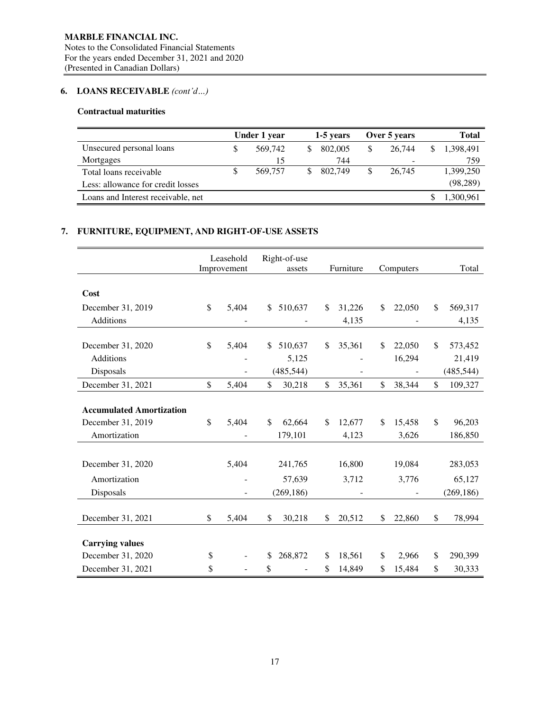# **6. LOANS RECEIVABLE** *(cont'd…)*

# **Contractual maturities**

|                                    | Under 1 year | 1-5 years | Over 5 years             | <b>Total</b> |
|------------------------------------|--------------|-----------|--------------------------|--------------|
| Unsecured personal loans           | 569,742      | 802,005   | 26,744                   | 1,398,491    |
| Mortgages                          |              | 744       | $\overline{\phantom{a}}$ | 759          |
| Total loans receivable             | 569,757      | 802,749   | 26.745                   | 1,399,250    |
| Less: allowance for credit losses  |              |           |                          | (98, 289)    |
| Loans and Interest receivable, net |              |           |                          | 1,300,961    |

# **7. FURNITURE, EQUIPMENT, AND RIGHT-OF-USE ASSETS**

|                                 | Leasehold<br>Improvement | Right-of-use<br>assets | Furniture    | Computers    | Total         |
|---------------------------------|--------------------------|------------------------|--------------|--------------|---------------|
|                                 |                          |                        |              |              |               |
| Cost                            |                          |                        |              |              |               |
| December 31, 2019               | \$<br>5,404              | \$<br>510,637          | \$<br>31,226 | \$<br>22,050 | \$<br>569,317 |
| <b>Additions</b>                | $\overline{\phantom{0}}$ |                        | 4,135        |              | 4,135         |
|                                 |                          |                        |              |              |               |
| December 31, 2020               | \$<br>5,404              | \$<br>510,637          | \$<br>35,361 | \$<br>22,050 | \$<br>573,452 |
| <b>Additions</b>                |                          | 5,125                  |              | 16,294       | 21,419        |
| Disposals                       |                          | (485, 544)             |              |              | (485, 544)    |
| December 31, 2021               | \$<br>5,404              | \$<br>30,218           | \$<br>35,361 | \$<br>38,344 | \$<br>109,327 |
|                                 |                          |                        |              |              |               |
| <b>Accumulated Amortization</b> |                          |                        |              |              |               |
| December 31, 2019               | \$<br>5,404              | \$<br>62,664           | \$<br>12,677 | \$<br>15,458 | \$<br>96,203  |
| Amortization                    | $\overline{\phantom{a}}$ | 179,101                | 4,123        | 3,626        | 186,850       |
|                                 |                          |                        |              |              |               |
| December 31, 2020               | 5,404                    | 241,765                | 16,800       | 19,084       | 283,053       |
| Amortization                    | $\overline{a}$           | 57,639                 | 3,712        | 3,776        | 65,127        |
| Disposals                       | $\blacksquare$           | (269, 186)             |              |              | (269, 186)    |
|                                 |                          |                        |              |              |               |
| December 31, 2021               | \$<br>5,404              | \$<br>30,218           | \$<br>20,512 | \$<br>22,860 | \$<br>78,994  |
|                                 |                          |                        |              |              |               |
| <b>Carrying values</b>          |                          |                        |              |              |               |
| December 31, 2020               | \$                       | 268,872<br>\$          | 18,561<br>\$ | \$<br>2,966  | \$<br>290,399 |
| December 31, 2021               | \$                       | \$                     | \$<br>14,849 | \$<br>15,484 | \$<br>30,333  |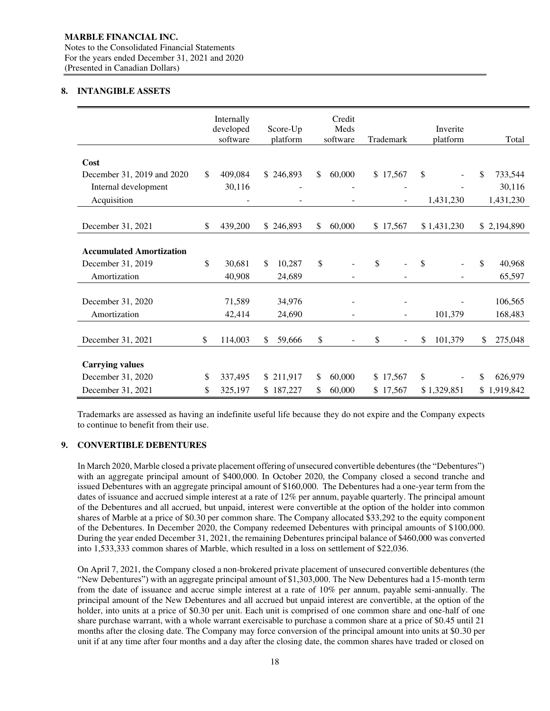# **8. INTANGIBLE ASSETS**

|                                 |              | Internally<br>developed<br>software | Score-Up<br>platform | Credit<br>Meds<br>software     | Trademark | Inverite<br>platform | Total         |
|---------------------------------|--------------|-------------------------------------|----------------------|--------------------------------|-----------|----------------------|---------------|
|                                 |              |                                     |                      |                                |           |                      |               |
| Cost                            |              |                                     |                      |                                |           |                      |               |
| December 31, 2019 and 2020      | \$           | 409,084                             | \$246,893            | \$<br>60,000                   | \$17,567  | \$                   | \$<br>733,544 |
| Internal development            |              | 30,116                              |                      | $\blacksquare$                 |           |                      | 30,116        |
| Acquisition                     |              |                                     |                      |                                |           | 1,431,230            | 1,431,230     |
|                                 |              |                                     |                      |                                |           |                      |               |
| December 31, 2021               | \$           | 439,200                             | \$246,893            | \$<br>60,000                   | \$17,567  | \$1,431,230          | \$2,194,890   |
|                                 |              |                                     |                      |                                |           |                      |               |
| <b>Accumulated Amortization</b> |              |                                     |                      |                                |           |                      |               |
| December 31, 2019               | \$           | 30,681                              | \$<br>10,287         | \$<br>$\overline{\phantom{a}}$ | \$        | \$<br>Ξ              | \$<br>40,968  |
| Amortization                    |              | 40,908                              | 24,689               |                                |           |                      | 65,597        |
|                                 |              |                                     |                      |                                |           |                      |               |
| December 31, 2020               |              | 71,589                              | 34,976               | $\overline{a}$                 |           |                      | 106,565       |
| Amortization                    |              | 42,414                              | 24,690               | $\blacksquare$                 |           | 101,379              | 168,483       |
|                                 |              |                                     |                      |                                |           |                      |               |
| December 31, 2021               | $\mathbb{S}$ | 114,003                             | \$<br>59,666         | \$                             | \$        | \$<br>101,379        | \$<br>275,048 |
|                                 |              |                                     |                      |                                |           |                      |               |
| <b>Carrying values</b>          |              |                                     |                      |                                |           |                      |               |
| December 31, 2020               | \$           | 337,495                             | \$211,917            | \$<br>60,000                   | \$17,567  | \$                   | \$<br>626,979 |
| December 31, 2021               | \$           | 325,197                             | \$187,227            | \$<br>60,000                   | \$17,567  | \$1,329,851          | \$1,919,842   |

Trademarks are assessed as having an indefinite useful life because they do not expire and the Company expects to continue to benefit from their use.

# **9. CONVERTIBLE DEBENTURES**

In March 2020, Marble closed a private placement offering of unsecured convertible debentures (the "Debentures") with an aggregate principal amount of \$400,000. In October 2020, the Company closed a second tranche and issued Debentures with an aggregate principal amount of \$160,000. The Debentures had a one-year term from the dates of issuance and accrued simple interest at a rate of 12% per annum, payable quarterly. The principal amount of the Debentures and all accrued, but unpaid, interest were convertible at the option of the holder into common shares of Marble at a price of \$0.30 per common share. The Company allocated \$33,292 to the equity component of the Debentures. In December 2020, the Company redeemed Debentures with principal amounts of \$100,000. During the year ended December 31, 2021, the remaining Debentures principal balance of \$460,000 was converted into 1,533,333 common shares of Marble, which resulted in a loss on settlement of \$22,036.

On April 7, 2021, the Company closed a non-brokered private placement of unsecured convertible debentures (the "New Debentures") with an aggregate principal amount of \$1,303,000. The New Debentures had a 15-month term from the date of issuance and accrue simple interest at a rate of 10% per annum, payable semi-annually. The principal amount of the New Debentures and all accrued but unpaid interest are convertible, at the option of the holder, into units at a price of \$0.30 per unit. Each unit is comprised of one common share and one-half of one share purchase warrant, with a whole warrant exercisable to purchase a common share at a price of \$0.45 until 21 months after the closing date. The Company may force conversion of the principal amount into units at \$0.30 per unit if at any time after four months and a day after the closing date, the common shares have traded or closed on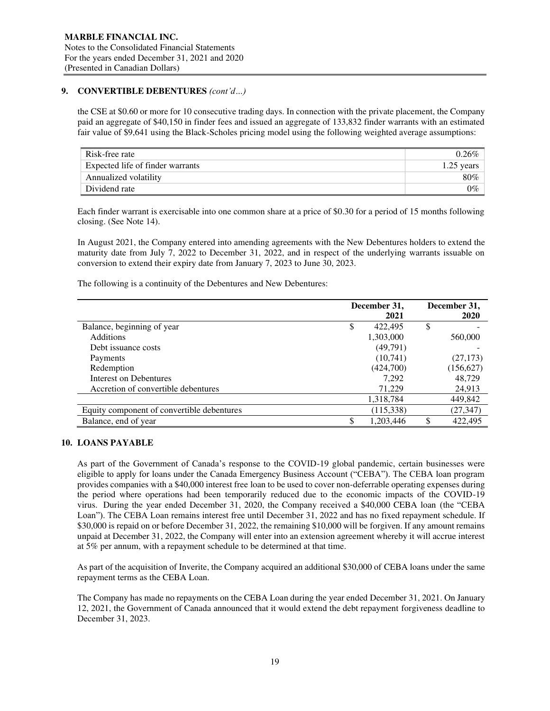# **9. CONVERTIBLE DEBENTURES** *(cont'd…)*

the CSE at \$0.60 or more for 10 consecutive trading days. In connection with the private placement, the Company paid an aggregate of \$40,150 in finder fees and issued an aggregate of 133,832 finder warrants with an estimated fair value of \$9,641 using the Black-Scholes pricing model using the following weighted average assumptions:

| Risk-free rate                   | 0.26%        |
|----------------------------------|--------------|
| Expected life of finder warrants | $1.25$ years |
| Annualized volatility            | 80%          |
| Dividend rate                    | $0\%$        |

Each finder warrant is exercisable into one common share at a price of \$0.30 for a period of 15 months following closing. (See Note 14).

In August 2021, the Company entered into amending agreements with the New Debentures holders to extend the maturity date from July 7, 2022 to December 31, 2022, and in respect of the underlying warrants issuable on conversion to extend their expiry date from January 7, 2023 to June 30, 2023.

The following is a continuity of the Debentures and New Debentures:

|                                            | December 31,  |   | December 31, |
|--------------------------------------------|---------------|---|--------------|
|                                            | 2021          |   | 2020         |
| Balance, beginning of year                 | \$<br>422,495 | S |              |
| <b>Additions</b>                           | 1,303,000     |   | 560,000      |
| Debt issuance costs                        | (49,791)      |   |              |
| Payments                                   | (10,741)      |   | (27, 173)    |
| Redemption                                 | (424,700)     |   | (156, 627)   |
| Interest on Debentures                     | 7,292         |   | 48.729       |
| Accretion of convertible debentures        | 71.229        |   | 24,913       |
|                                            | 1,318,784     |   | 449,842      |
| Equity component of convertible debentures | (115, 338)    |   | (27, 347)    |
| Balance, end of year                       | 1.203.446     |   | 422,495      |

### **10. LOANS PAYABLE**

As part of the Government of Canada's response to the COVID-19 global pandemic, certain businesses were eligible to apply for loans under the Canada Emergency Business Account ("CEBA"). The CEBA loan program provides companies with a \$40,000 interest free loan to be used to cover non-deferrable operating expenses during the period where operations had been temporarily reduced due to the economic impacts of the COVID-19 virus. During the year ended December 31, 2020, the Company received a \$40,000 CEBA loan (the "CEBA Loan"). The CEBA Loan remains interest free until December 31, 2022 and has no fixed repayment schedule. If \$30,000 is repaid on or before December 31, 2022, the remaining \$10,000 will be forgiven. If any amount remains unpaid at December 31, 2022, the Company will enter into an extension agreement whereby it will accrue interest at 5% per annum, with a repayment schedule to be determined at that time.

As part of the acquisition of Inverite, the Company acquired an additional \$30,000 of CEBA loans under the same repayment terms as the CEBA Loan.

The Company has made no repayments on the CEBA Loan during the year ended December 31, 2021. On January 12, 2021, the Government of Canada announced that it would extend the debt repayment forgiveness deadline to December 31, 2023.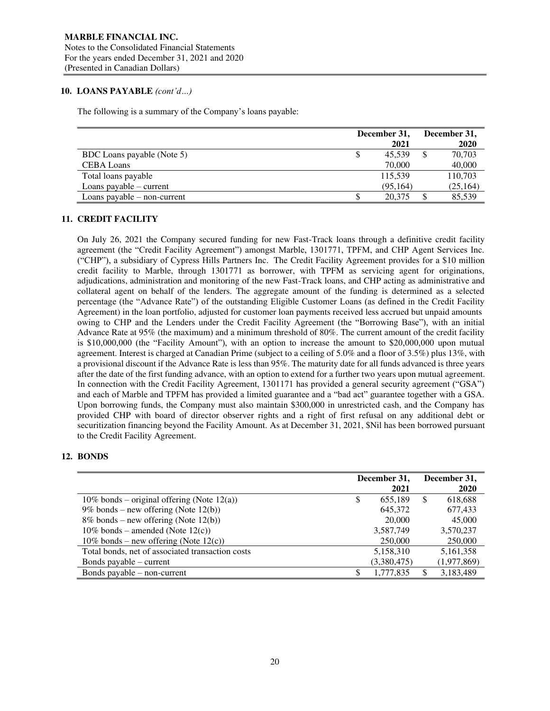# **10. LOANS PAYABLE** *(cont'd…)*

The following is a summary of the Company's loans payable:

|                               | December 31, | December 31, |
|-------------------------------|--------------|--------------|
|                               | 2021         | 2020         |
| BDC Loans payable (Note 5)    | 45.539       | 70,703       |
| <b>CEBA Loans</b>             | 70,000       | 40,000       |
| Total loans payable           | 115,539      | 110,703      |
| Loans payable $-$ current     | (95, 164)    | (25, 164)    |
| Loans payable $-$ non-current | 20,375       | 85,539       |

# **11. CREDIT FACILITY**

On July 26, 2021 the Company secured funding for new Fast-Track loans through a definitive credit facility agreement (the "Credit Facility Agreement") amongst Marble, 1301771, TPFM, and CHP Agent Services Inc. ("CHP"), a subsidiary of Cypress Hills Partners Inc. The Credit Facility Agreement provides for a \$10 million credit facility to Marble, through 1301771 as borrower, with TPFM as servicing agent for originations, adjudications, administration and monitoring of the new Fast-Track loans, and CHP acting as administrative and collateral agent on behalf of the lenders. The aggregate amount of the funding is determined as a selected percentage (the "Advance Rate") of the outstanding Eligible Customer Loans (as defined in the Credit Facility Agreement) in the loan portfolio, adjusted for customer loan payments received less accrued but unpaid amounts owing to CHP and the Lenders under the Credit Facility Agreement (the "Borrowing Base"), with an initial Advance Rate at 95% (the maximum) and a minimum threshold of 80%. The current amount of the credit facility is \$10,000,000 (the "Facility Amount"), with an option to increase the amount to \$20,000,000 upon mutual agreement. Interest is charged at Canadian Prime (subject to a ceiling of 5.0% and a floor of 3.5%) plus 13%, with a provisional discount if the Advance Rate is less than 95%. The maturity date for all funds advanced is three years after the date of the first funding advance, with an option to extend for a further two years upon mutual agreement. In connection with the Credit Facility Agreement, 1301171 has provided a general security agreement ("GSA") and each of Marble and TPFM has provided a limited guarantee and a "bad act" guarantee together with a GSA. Upon borrowing funds, the Company must also maintain \$300,000 in unrestricted cash, and the Company has provided CHP with board of director observer rights and a right of first refusal on any additional debt or securitization financing beyond the Facility Amount. As at December 31, 2021, \$Nil has been borrowed pursuant to the Credit Facility Agreement.

# **12. BONDS**

|                                                  | December 31,<br>2021 |   | December 31,<br><b>2020</b> |
|--------------------------------------------------|----------------------|---|-----------------------------|
| 10% bonds – original offering (Note 12(a))       | \$<br>655,189        | S | 618,688                     |
| 9% bonds – new offering (Note 12(b))             | 645,372              |   | 677,433                     |
| $8\%$ bonds – new offering (Note 12(b))          | 20,000               |   | 45,000                      |
| 10% bonds – amended (Note $12(c)$ )              | 3,587,749            |   | 3,570,237                   |
| 10% bonds – new offering (Note 12(c))            | 250,000              |   | 250,000                     |
| Total bonds, net of associated transaction costs | 5,158,310            |   | 5,161,358                   |
| Bonds payable $-$ current                        | (3,380,475)          |   | (1,977,869)                 |
| Bonds payable $-$ non-current                    | 1,777,835            |   | 3,183,489                   |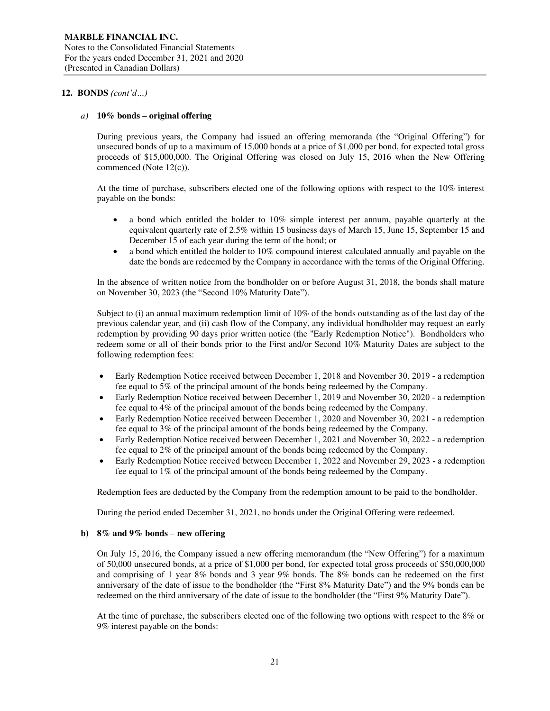# **12. BONDS** *(cont'd…)*

### *a)* **10% bonds – original offering**

During previous years, the Company had issued an offering memoranda (the "Original Offering") for unsecured bonds of up to a maximum of 15,000 bonds at a price of \$1,000 per bond, for expected total gross proceeds of \$15,000,000. The Original Offering was closed on July 15, 2016 when the New Offering commenced (Note 12(c)).

At the time of purchase, subscribers elected one of the following options with respect to the 10% interest payable on the bonds:

- a bond which entitled the holder to 10% simple interest per annum, payable quarterly at the equivalent quarterly rate of 2.5% within 15 business days of March 15, June 15, September 15 and December 15 of each year during the term of the bond; or
- a bond which entitled the holder to 10% compound interest calculated annually and payable on the date the bonds are redeemed by the Company in accordance with the terms of the Original Offering.

In the absence of written notice from the bondholder on or before August 31, 2018, the bonds shall mature on November 30, 2023 (the "Second 10% Maturity Date").

Subject to (i) an annual maximum redemption limit of 10% of the bonds outstanding as of the last day of the previous calendar year, and (ii) cash flow of the Company, any individual bondholder may request an early redemption by providing 90 days prior written notice (the "Early Redemption Notice"). Bondholders who redeem some or all of their bonds prior to the First and/or Second 10% Maturity Dates are subject to the following redemption fees:

- Early Redemption Notice received between December 1, 2018 and November 30, 2019 a redemption fee equal to 5% of the principal amount of the bonds being redeemed by the Company.
- Early Redemption Notice received between December 1, 2019 and November 30, 2020 a redemption fee equal to 4% of the principal amount of the bonds being redeemed by the Company.
- Early Redemption Notice received between December 1, 2020 and November 30, 2021 a redemption fee equal to 3% of the principal amount of the bonds being redeemed by the Company.
- Early Redemption Notice received between December 1, 2021 and November 30, 2022 a redemption fee equal to 2% of the principal amount of the bonds being redeemed by the Company.
- Early Redemption Notice received between December 1, 2022 and November 29, 2023 a redemption fee equal to 1% of the principal amount of the bonds being redeemed by the Company.

Redemption fees are deducted by the Company from the redemption amount to be paid to the bondholder.

During the period ended December 31, 2021, no bonds under the Original Offering were redeemed.

# **b) 8% and 9% bonds – new offering**

On July 15, 2016, the Company issued a new offering memorandum (the "New Offering") for a maximum of 50,000 unsecured bonds, at a price of \$1,000 per bond, for expected total gross proceeds of \$50,000,000 and comprising of 1 year 8% bonds and 3 year 9% bonds. The 8% bonds can be redeemed on the first anniversary of the date of issue to the bondholder (the "First 8% Maturity Date") and the 9% bonds can be redeemed on the third anniversary of the date of issue to the bondholder (the "First 9% Maturity Date").

At the time of purchase, the subscribers elected one of the following two options with respect to the 8% or 9% interest payable on the bonds: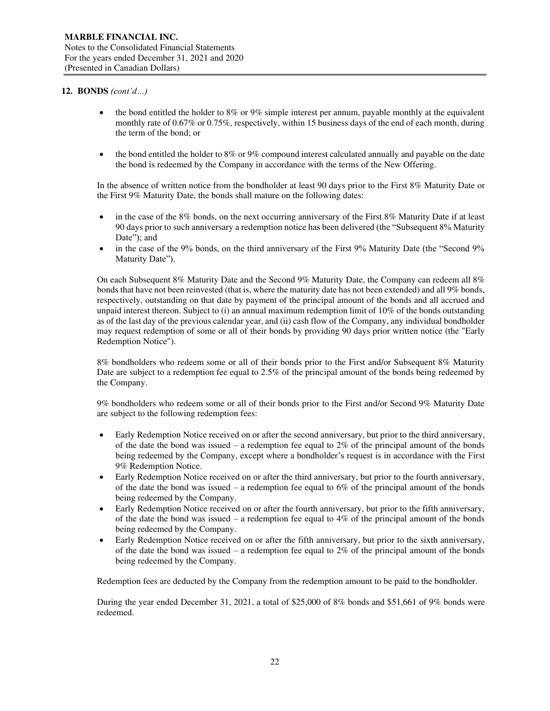# **12. BONDS** *(cont'd…)*

- the bond entitled the holder to 8% or 9% simple interest per annum, payable monthly at the equivalent monthly rate of 0.67% or 0.75%, respectively, within 15 business days of the end of each month, during the term of the bond; or
- the bond entitled the holder to 8% or 9% compound interest calculated annually and payable on the date the bond is redeemed by the Company in accordance with the terms of the New Offering.

In the absence of written notice from the bondholder at least 90 days prior to the First 8% Maturity Date or the First 9% Maturity Date, the bonds shall mature on the following dates:

- in the case of the 8% bonds, on the next occurring anniversary of the First 8% Maturity Date if at least 90 days prior to such anniversary a redemption notice has been delivered (the "Subsequent 8% Maturity Date"); and
- in the case of the 9% bonds, on the third anniversary of the First 9% Maturity Date (the "Second 9% Maturity Date").

On each Subsequent 8% Maturity Date and the Second 9% Maturity Date, the Company can redeem all 8% bonds that have not been reinvested (that is, where the maturity date has not been extended) and all 9% bonds, respectively, outstanding on that date by payment of the principal amount of the bonds and all accrued and unpaid interest thereon. Subject to (i) an annual maximum redemption limit of 10% of the bonds outstanding as of the last day of the previous calendar year, and (ii) cash flow of the Company, any individual bondholder may request redemption of some or all of their bonds by providing 90 days prior written notice (the "Early Redemption Notice").

8% bondholders who redeem some or all of their bonds prior to the First and/or Subsequent 8% Maturity Date are subject to a redemption fee equal to 2.5% of the principal amount of the bonds being redeemed by the Company.

9% bondholders who redeem some or all of their bonds prior to the First and/or Second 9% Maturity Date are subject to the following redemption fees:

- Early Redemption Notice received on or after the second anniversary, but prior to the third anniversary, of the date the bond was issued – a redemption fee equal to  $2\%$  of the principal amount of the bonds being redeemed by the Company, except where a bondholder's request is in accordance with the First 9% Redemption Notice.
- Early Redemption Notice received on or after the third anniversary, but prior to the fourth anniversary, of the date the bond was issued – a redemption fee equal to  $6\%$  of the principal amount of the bonds being redeemed by the Company.
- Early Redemption Notice received on or after the fourth anniversary, but prior to the fifth anniversary, of the date the bond was issued – a redemption fee equal to  $4\%$  of the principal amount of the bonds being redeemed by the Company.
- Early Redemption Notice received on or after the fifth anniversary, but prior to the sixth anniversary, of the date the bond was issued – a redemption fee equal to  $2\%$  of the principal amount of the bonds being redeemed by the Company.

Redemption fees are deducted by the Company from the redemption amount to be paid to the bondholder.

During the year ended December 31, 2021, a total of \$25,000 of 8% bonds and \$51,661 of 9% bonds were redeemed.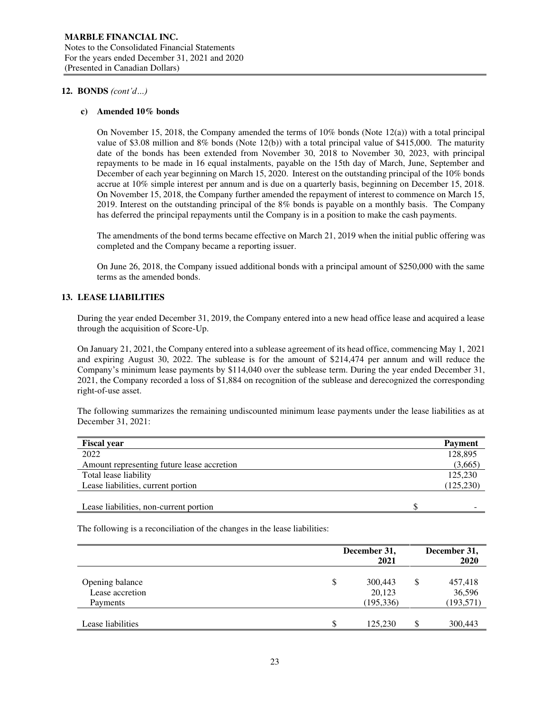# **12. BONDS** *(cont'd…)*

# **c) Amended 10% bonds**

On November 15, 2018, the Company amended the terms of 10% bonds (Note 12(a)) with a total principal value of \$3.08 million and 8% bonds (Note 12(b)) with a total principal value of \$415,000. The maturity date of the bonds has been extended from November 30, 2018 to November 30, 2023, with principal repayments to be made in 16 equal instalments, payable on the 15th day of March, June, September and December of each year beginning on March 15, 2020. Interest on the outstanding principal of the 10% bonds accrue at 10% simple interest per annum and is due on a quarterly basis, beginning on December 15, 2018. On November 15, 2018, the Company further amended the repayment of interest to commence on March 15, 2019. Interest on the outstanding principal of the 8% bonds is payable on a monthly basis. The Company has deferred the principal repayments until the Company is in a position to make the cash payments.

The amendments of the bond terms became effective on March 21, 2019 when the initial public offering was completed and the Company became a reporting issuer.

On June 26, 2018, the Company issued additional bonds with a principal amount of \$250,000 with the same terms as the amended bonds.

# **13. LEASE LIABILITIES**

During the year ended December 31, 2019, the Company entered into a new head office lease and acquired a lease through the acquisition of Score-Up.

On January 21, 2021, the Company entered into a sublease agreement of its head office, commencing May 1, 2021 and expiring August 30, 2022. The sublease is for the amount of \$214,474 per annum and will reduce the Company's minimum lease payments by \$114,040 over the sublease term. During the year ended December 31, 2021, the Company recorded a loss of \$1,884 on recognition of the sublease and derecognized the corresponding right-of-use asset.

The following summarizes the remaining undiscounted minimum lease payments under the lease liabilities as at December 31, 2021:

| <b>Fiscal year</b>                         | <b>Payment</b> |
|--------------------------------------------|----------------|
| 2022                                       | 128,895        |
| Amount representing future lease accretion | (3,665)        |
| Total lease liability                      | 125,230        |
| Lease liabilities, current portion         | (125, 230)     |
|                                            |                |
| Lease liabilities, non-current portion     |                |

The following is a reconciliation of the changes in the lease liabilities:

|                                                | December 31,<br>2021                  | December 31,<br>2020                  |
|------------------------------------------------|---------------------------------------|---------------------------------------|
| Opening balance<br>Lease accretion<br>Payments | \$<br>300,443<br>20,123<br>(195, 336) | \$<br>457,418<br>36,596<br>(193, 571) |
| Lease liabilities                              | \$<br>125,230                         | \$<br>300,443                         |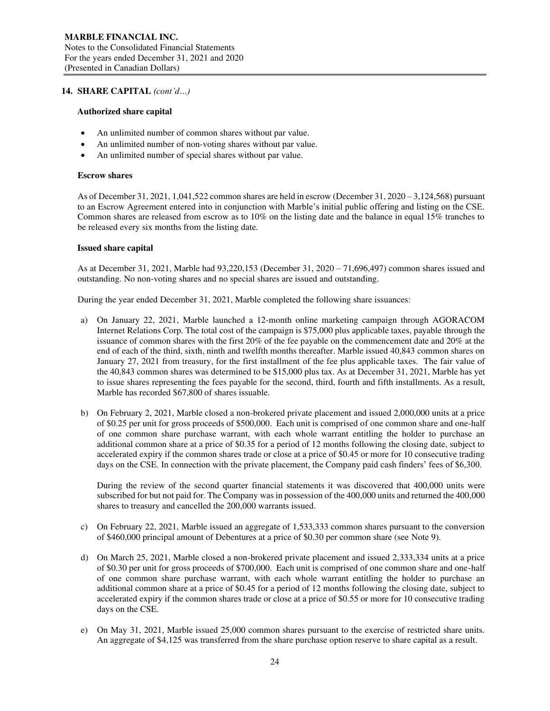### **Authorized share capital**

- An unlimited number of common shares without par value.
- An unlimited number of non-voting shares without par value.
- An unlimited number of special shares without par value.

### **Escrow shares**

As of December 31, 2021, 1,041,522 common shares are held in escrow (December 31, 2020 – 3,124,568) pursuant to an Escrow Agreement entered into in conjunction with Marble's initial public offering and listing on the CSE. Common shares are released from escrow as to 10% on the listing date and the balance in equal 15% tranches to be released every six months from the listing date.

#### **Issued share capital**

As at December 31, 2021, Marble had 93,220,153 (December 31, 2020 – 71,696,497) common shares issued and outstanding. No non-voting shares and no special shares are issued and outstanding.

During the year ended December 31, 2021, Marble completed the following share issuances:

- a) On January 22, 2021, Marble launched a 12-month online marketing campaign through AGORACOM Internet Relations Corp. The total cost of the campaign is \$75,000 plus applicable taxes, payable through the issuance of common shares with the first 20% of the fee payable on the commencement date and 20% at the end of each of the third, sixth, ninth and twelfth months thereafter. Marble issued 40,843 common shares on January 27, 2021 from treasury, for the first installment of the fee plus applicable taxes. The fair value of the 40,843 common shares was determined to be \$15,000 plus tax. As at December 31, 2021, Marble has yet to issue shares representing the fees payable for the second, third, fourth and fifth installments. As a result, Marble has recorded \$67,800 of shares issuable.
- b) On February 2, 2021, Marble closed a non-brokered private placement and issued 2,000,000 units at a price of \$0.25 per unit for gross proceeds of \$500,000. Each unit is comprised of one common share and one-half of one common share purchase warrant, with each whole warrant entitling the holder to purchase an additional common share at a price of \$0.35 for a period of 12 months following the closing date, subject to accelerated expiry if the common shares trade or close at a price of \$0.45 or more for 10 consecutive trading days on the CSE. In connection with the private placement, the Company paid cash finders' fees of \$6,300.

During the review of the second quarter financial statements it was discovered that 400,000 units were subscribed for but not paid for. The Company was in possession of the 400,000 units and returned the 400,000 shares to treasury and cancelled the 200,000 warrants issued.

- c) On February 22, 2021, Marble issued an aggregate of 1,533,333 common shares pursuant to the conversion of \$460,000 principal amount of Debentures at a price of \$0.30 per common share (see Note 9).
- d) On March 25, 2021, Marble closed a non-brokered private placement and issued 2,333,334 units at a price of \$0.30 per unit for gross proceeds of \$700,000. Each unit is comprised of one common share and one-half of one common share purchase warrant, with each whole warrant entitling the holder to purchase an additional common share at a price of \$0.45 for a period of 12 months following the closing date, subject to accelerated expiry if the common shares trade or close at a price of \$0.55 or more for 10 consecutive trading days on the CSE.
- e) On May 31, 2021, Marble issued 25,000 common shares pursuant to the exercise of restricted share units. An aggregate of \$4,125 was transferred from the share purchase option reserve to share capital as a result.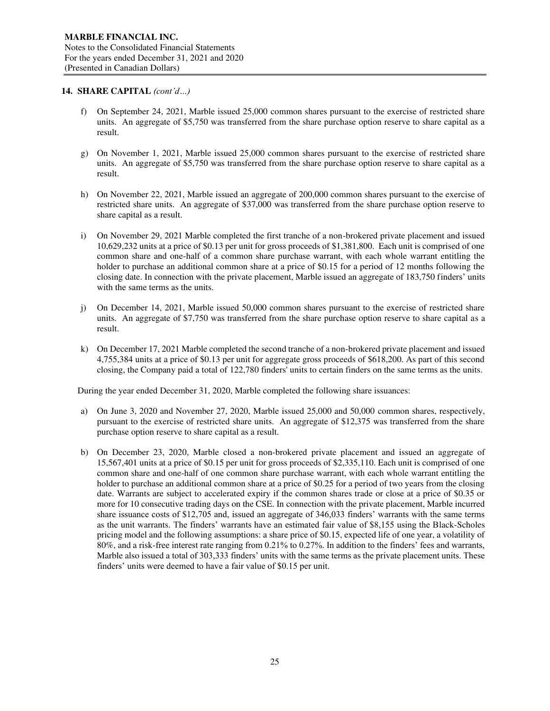- f) On September 24, 2021, Marble issued 25,000 common shares pursuant to the exercise of restricted share units. An aggregate of \$5,750 was transferred from the share purchase option reserve to share capital as a result.
- g) On November 1, 2021, Marble issued 25,000 common shares pursuant to the exercise of restricted share units. An aggregate of \$5,750 was transferred from the share purchase option reserve to share capital as a result.
- h) On November 22, 2021, Marble issued an aggregate of 200,000 common shares pursuant to the exercise of restricted share units. An aggregate of \$37,000 was transferred from the share purchase option reserve to share capital as a result.
- i) On November 29, 2021 Marble completed the first tranche of a non-brokered private placement and issued 10,629,232 units at a price of \$0.13 per unit for gross proceeds of \$1,381,800. Each unit is comprised of one common share and one-half of a common share purchase warrant, with each whole warrant entitling the holder to purchase an additional common share at a price of \$0.15 for a period of 12 months following the closing date. In connection with the private placement, Marble issued an aggregate of 183,750 finders' units with the same terms as the units.
- j) On December 14, 2021, Marble issued 50,000 common shares pursuant to the exercise of restricted share units. An aggregate of \$7,750 was transferred from the share purchase option reserve to share capital as a result.
- k) On December 17, 2021 Marble completed the second tranche of a non-brokered private placement and issued 4,755,384 units at a price of \$0.13 per unit for aggregate gross proceeds of \$618,200. As part of this second closing, the Company paid a total of 122,780 finders' units to certain finders on the same terms as the units.

During the year ended December 31, 2020, Marble completed the following share issuances:

- a) On June 3, 2020 and November 27, 2020, Marble issued 25,000 and 50,000 common shares, respectively, pursuant to the exercise of restricted share units. An aggregate of \$12,375 was transferred from the share purchase option reserve to share capital as a result.
- b) On December 23, 2020, Marble closed a non-brokered private placement and issued an aggregate of 15,567,401 units at a price of \$0.15 per unit for gross proceeds of \$2,335,110. Each unit is comprised of one common share and one-half of one common share purchase warrant, with each whole warrant entitling the holder to purchase an additional common share at a price of \$0.25 for a period of two years from the closing date. Warrants are subject to accelerated expiry if the common shares trade or close at a price of \$0.35 or more for 10 consecutive trading days on the CSE. In connection with the private placement, Marble incurred share issuance costs of \$12,705 and, issued an aggregate of 346,033 finders' warrants with the same terms as the unit warrants. The finders' warrants have an estimated fair value of \$8,155 using the Black-Scholes pricing model and the following assumptions: a share price of \$0.15, expected life of one year, a volatility of 80%, and a risk-free interest rate ranging from 0.21% to 0.27%. In addition to the finders' fees and warrants, Marble also issued a total of 303,333 finders' units with the same terms as the private placement units. These finders' units were deemed to have a fair value of \$0.15 per unit.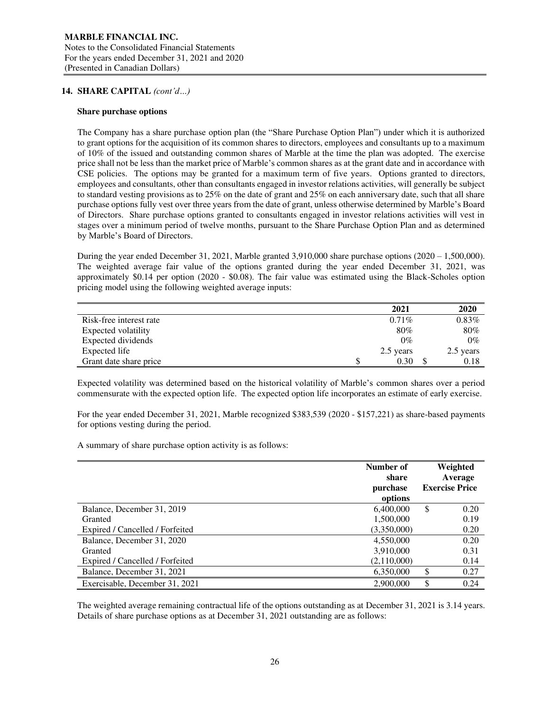#### **Share purchase options**

The Company has a share purchase option plan (the "Share Purchase Option Plan") under which it is authorized to grant options for the acquisition of its common shares to directors, employees and consultants up to a maximum of 10% of the issued and outstanding common shares of Marble at the time the plan was adopted. The exercise price shall not be less than the market price of Marble's common shares as at the grant date and in accordance with CSE policies. The options may be granted for a maximum term of five years. Options granted to directors, employees and consultants, other than consultants engaged in investor relations activities, will generally be subject to standard vesting provisions as to 25% on the date of grant and 25% on each anniversary date, such that all share purchase options fully vest over three years from the date of grant, unless otherwise determined by Marble's Board of Directors. Share purchase options granted to consultants engaged in investor relations activities will vest in stages over a minimum period of twelve months, pursuant to the Share Purchase Option Plan and as determined by Marble's Board of Directors.

During the year ended December 31, 2021, Marble granted 3,910,000 share purchase options (2020 – 1,500,000). The weighted average fair value of the options granted during the year ended December 31, 2021, was approximately \$0.14 per option (2020 - \$0.08). The fair value was estimated using the Black-Scholes option pricing model using the following weighted average inputs:

|                         | 2021      | 2020      |
|-------------------------|-----------|-----------|
| Risk-free interest rate | $0.71\%$  | 0.83%     |
| Expected volatility     | 80%       | 80%       |
| Expected dividends      | $0\%$     | $0\%$     |
| Expected life           | 2.5 years | 2.5 years |
| Grant date share price  | 0.30      | 0.18      |

Expected volatility was determined based on the historical volatility of Marble's common shares over a period commensurate with the expected option life. The expected option life incorporates an estimate of early exercise.

For the year ended December 31, 2021, Marble recognized \$383,539 (2020 - \$157,221) as share-based payments for options vesting during the period.

A summary of share purchase option activity is as follows:

|                                 | Number of<br>share<br>purchase<br>options | Weighted<br>Average<br><b>Exercise Price</b> |
|---------------------------------|-------------------------------------------|----------------------------------------------|
| Balance, December 31, 2019      | 6,400,000                                 | \$<br>0.20                                   |
| Granted                         | 1,500,000                                 | 0.19                                         |
| Expired / Cancelled / Forfeited | (3,350,000)                               | 0.20                                         |
| Balance, December 31, 2020      | 4,550,000                                 | 0.20                                         |
| Granted                         | 3,910,000                                 | 0.31                                         |
| Expired / Cancelled / Forfeited | (2,110,000)                               | 0.14                                         |
| Balance, December 31, 2021      | 6,350,000                                 | \$<br>0.27                                   |
| Exercisable, December 31, 2021  | 2,900,000                                 | 0.24<br>\$                                   |

The weighted average remaining contractual life of the options outstanding as at December 31, 2021 is 3.14 years. Details of share purchase options as at December 31, 2021 outstanding are as follows: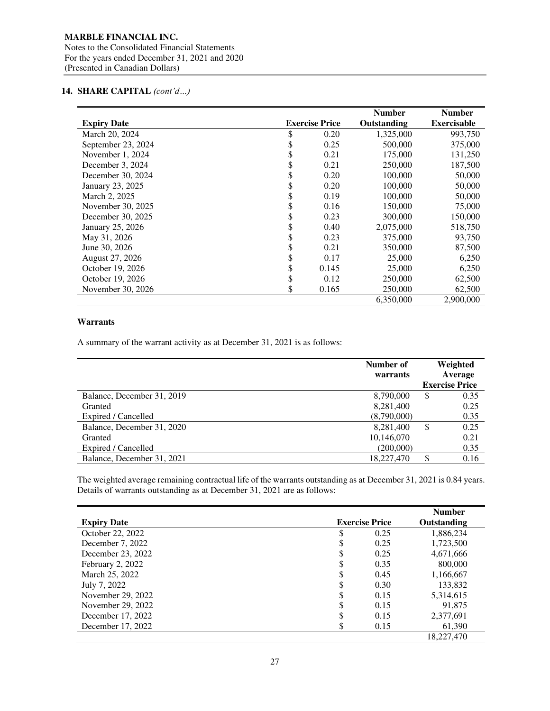|                    |    |                       | <b>Number</b> | <b>Number</b>      |
|--------------------|----|-----------------------|---------------|--------------------|
| <b>Expiry Date</b> |    | <b>Exercise Price</b> | Outstanding   | <b>Exercisable</b> |
| March 20, 2024     | \$ | 0.20                  | 1,325,000     | 993,750            |
| September 23, 2024 | S  | 0.25                  | 500,000       | 375,000            |
| November 1, 2024   | \$ | 0.21                  | 175,000       | 131,250            |
| December 3, 2024   | \$ | 0.21                  | 250,000       | 187,500            |
| December 30, 2024  | \$ | 0.20                  | 100,000       | 50,000             |
| January 23, 2025   | \$ | 0.20                  | 100,000       | 50,000             |
| March 2, 2025      | \$ | 0.19                  | 100,000       | 50,000             |
| November 30, 2025  | \$ | 0.16                  | 150,000       | 75,000             |
| December 30, 2025  | \$ | 0.23                  | 300,000       | 150,000            |
| January 25, 2026   |    | 0.40                  | 2,075,000     | 518,750            |
| May 31, 2026       | \$ | 0.23                  | 375,000       | 93,750             |
| June 30, 2026      | \$ | 0.21                  | 350,000       | 87,500             |
| August 27, 2026    | \$ | 0.17                  | 25,000        | 6,250              |
| October 19, 2026   | \$ | 0.145                 | 25,000        | 6,250              |
| October 19, 2026   | \$ | 0.12                  | 250,000       | 62,500             |
| November 30, 2026  |    | 0.165                 | 250,000       | 62,500             |
|                    |    |                       | 6,350,000     | 2,900,000          |

# **Warrants**

A summary of the warrant activity as at December 31, 2021 is as follows:

|                            | Number of<br>warrants | Weighted<br>Average<br><b>Exercise Price</b> |
|----------------------------|-----------------------|----------------------------------------------|
| Balance, December 31, 2019 | 8,790,000             | \$<br>0.35                                   |
| Granted                    | 8,281,400             | 0.25                                         |
| Expired / Cancelled        | (8,790,000)           | 0.35                                         |
| Balance, December 31, 2020 | 8,281,400             | \$<br>0.25                                   |
| Granted                    | 10,146,070            | 0.21                                         |
| Expired / Cancelled        | (200,000)             | 0.35                                         |
| Balance, December 31, 2021 | 18,227,470            | \$<br>0.16                                   |

The weighted average remaining contractual life of the warrants outstanding as at December 31, 2021 is 0.84 years. Details of warrants outstanding as at December 31, 2021 are as follows:

|                    |                       | <b>Number</b> |
|--------------------|-----------------------|---------------|
| <b>Expiry Date</b> | <b>Exercise Price</b> | Outstanding   |
| October 22, 2022   | \$<br>0.25            | 1,886,234     |
| December 7, 2022   | \$<br>0.25            | 1,723,500     |
| December 23, 2022  | \$<br>0.25            | 4,671,666     |
| February 2, 2022   | \$<br>0.35            | 800,000       |
| March 25, 2022     | \$<br>0.45            | 1,166,667     |
| July 7, 2022       | \$<br>0.30            | 133,832       |
| November 29, 2022  | \$<br>0.15            | 5,314,615     |
| November 29, 2022  | \$<br>0.15            | 91.875        |
| December 17, 2022  | \$<br>0.15            | 2,377,691     |
| December 17, 2022  | \$<br>0.15            | 61,390        |
|                    |                       | 18,227,470    |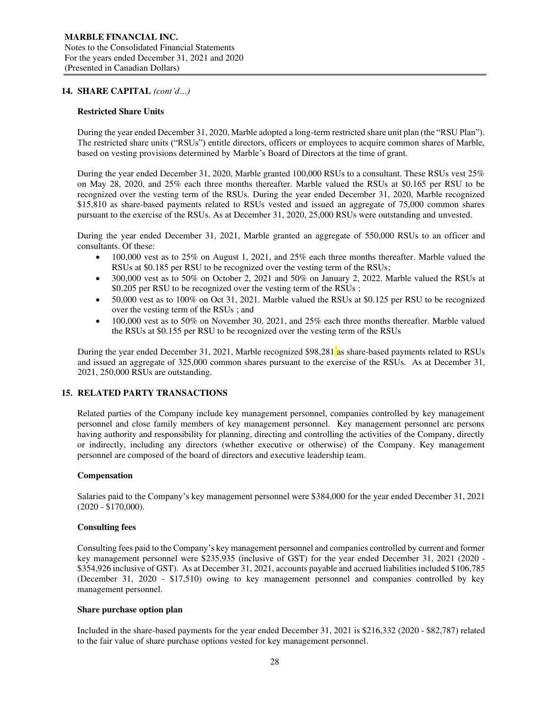### **Restricted Share Units**

During the year ended December 31, 2020, Marble adopted a long-term restricted share unit plan (the "RSU Plan"). The restricted share units ("RSUs") entitle directors, officers or employees to acquire common shares of Marble, based on vesting provisions determined by Marble's Board of Directors at the time of grant.

During the year ended December 31, 2020, Marble granted 100,000 RSUs to a consultant. These RSUs vest 25% on May 28, 2020, and 25% each three months thereafter. Marble valued the RSUs at \$0.165 per RSU to be recognized over the vesting term of the RSUs. During the year ended December 31, 2020, Marble recognized \$15,810 as share-based payments related to RSUs vested and issued an aggregate of 75,000 common shares pursuant to the exercise of the RSUs. As at December 31, 2020, 25,000 RSUs were outstanding and unvested.

During the year ended December 31, 2021, Marble granted an aggregate of 550,000 RSUs to an officer and consultants. Of these:

- 100,000 vest as to 25% on August 1, 2021, and 25% each three months thereafter. Marble valued the RSUs at \$0.185 per RSU to be recognized over the vesting term of the RSUs;
- 300,000 vest as to 50% on October 2, 2021 and 50% on January 2, 2022. Marble valued the RSUs at \$0.205 per RSU to be recognized over the vesting term of the RSUs ;
- 50,000 vest as to 100% on Oct 31, 2021. Marble valued the RSUs at \$0.125 per RSU to be recognized over the vesting term of the RSUs ; and
- 100,000 vest as to 50% on November 30, 2021, and 25% each three months thereafter. Marble valued the RSUs at \$0.155 per RSU to be recognized over the vesting term of the RSUs

During the year ended December 31, 2021, Marble recognized \$98,281 as share-based payments related to RSUs and issued an aggregate of 325,000 common shares pursuant to the exercise of the RSUs. As at December 31, 2021, 250,000 RSUs are outstanding.

# **15. RELATED PARTY TRANSACTIONS**

Related parties of the Company include key management personnel, companies controlled by key management personnel and close family members of key management personnel. Key management personnel are persons having authority and responsibility for planning, directing and controlling the activities of the Company, directly or indirectly, including any directors (whether executive or otherwise) of the Company. Key management personnel are composed of the board of directors and executive leadership team.

### **Compensation**

Salaries paid to the Company's key management personnel were \$384,000 for the year ended December 31, 2021  $(2020 - $170,000)$ .

### **Consulting fees**

Consulting fees paid to the Company's key management personnel and companies controlled by current and former key management personnel were \$235,935 (inclusive of GST) for the year ended December 31, 2021 (2020 - \$354,926 inclusive of GST). As at December 31, 2021, accounts payable and accrued liabilities included \$106,785 (December 31, 2020 - \$17,510) owing to key management personnel and companies controlled by key management personnel.

### **Share purchase option plan**

Included in the share-based payments for the year ended December 31, 2021 is \$216,332 (2020 - \$82,787) related to the fair value of share purchase options vested for key management personnel.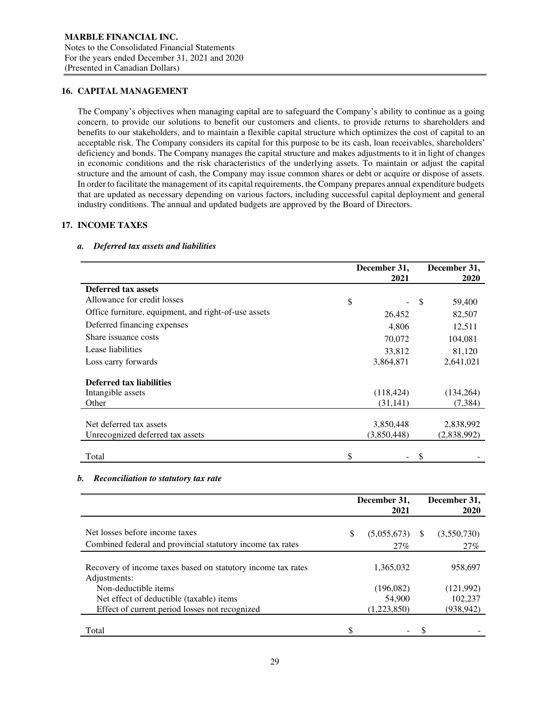# **16. CAPITAL MANAGEMENT**

The Company's objectives when managing capital are to safeguard the Company's ability to continue as a going concern, to provide our solutions to benefit our customers and clients, to provide returns to shareholders and benefits to our stakeholders, and to maintain a flexible capital structure which optimizes the cost of capital to an acceptable risk. The Company considers its capital for this purpose to be its cash, loan receivables, shareholders' deficiency and bonds. The Company manages the capital structure and makes adjustments to it in light of changes in economic conditions and the risk characteristics of the underlying assets. To maintain or adjust the capital structure and the amount of cash, the Company may issue common shares or debt or acquire or dispose of assets. In order to facilitate the management of its capital requirements, the Company prepares annual expenditure budgets that are updated as necessary depending on various factors, including successful capital deployment and general industry conditions. The annual and updated budgets are approved by the Board of Directors.

# **17. INCOME TAXES**

### *a. Deferred tax assets and liabilities*

|                                                      | December 31,<br>2021 |    | December 31,<br><b>2020</b> |
|------------------------------------------------------|----------------------|----|-----------------------------|
| <b>Deferred tax assets</b>                           |                      |    |                             |
| Allowance for credit losses                          | \$                   | -S | 59,400                      |
| Office furniture, equipment, and right-of-use assets | 26,452               |    | 82,507                      |
| Deferred financing expenses                          | 4,806                |    | 12,511                      |
| Share issuance costs                                 | 70,072               |    | 104,081                     |
| Lease liabilities                                    | 33,812               |    | 81,120                      |
| Loss carry forwards                                  | 3,864,871            |    | 2,641,021                   |
| <b>Deferred tax liabilities</b>                      |                      |    |                             |
| Intangible assets                                    | (118, 424)           |    | (134,264)                   |
| Other                                                | (31, 141)            |    | (7, 384)                    |
|                                                      |                      |    |                             |
| Net deferred tax assets                              | 3,850,448            |    | 2,838,992                   |
| Unrecognized deferred tax assets                     | (3,850,448)          |    | (2,838,992)                 |
|                                                      |                      |    |                             |
| Total                                                | \$                   |    |                             |

### *b. Reconciliation to statutory tax rate*

|                                                                              | December 31,<br>2021     |              | December 31,<br>2020 |  |  |
|------------------------------------------------------------------------------|--------------------------|--------------|----------------------|--|--|
| Net losses before income taxes                                               |                          |              |                      |  |  |
| Combined federal and provincial statutory income tax rates                   | \$<br>(5,055,673)<br>27% | <sup>S</sup> | (3,550,730)<br>27%   |  |  |
| Recovery of income taxes based on statutory income tax rates<br>Adjustments: | 1,365,032                |              | 958,697              |  |  |
| Non-deductible items                                                         | (196,082)                |              | (121,992)            |  |  |
| Net effect of deductible (taxable) items                                     | 54,900                   |              | 102,237              |  |  |
| Effect of current period losses not recognized                               | (1,223,850)              |              | (938, 942)           |  |  |
| Total                                                                        |                          |              |                      |  |  |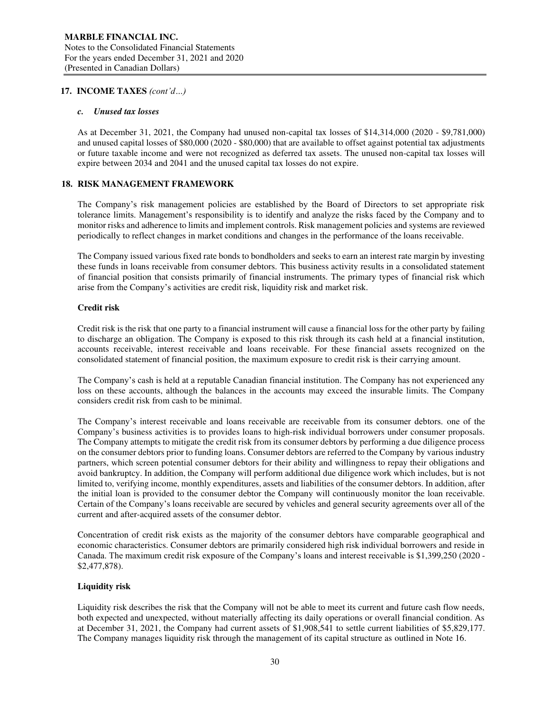# **17. INCOME TAXES** *(cont'd…)*

### *c. Unused tax losses*

As at December 31, 2021, the Company had unused non-capital tax losses of \$14,314,000 (2020 - \$9,781,000) and unused capital losses of \$80,000 (2020 - \$80,000) that are available to offset against potential tax adjustments or future taxable income and were not recognized as deferred tax assets. The unused non-capital tax losses will expire between 2034 and 2041 and the unused capital tax losses do not expire.

### **18. RISK MANAGEMENT FRAMEWORK**

The Company's risk management policies are established by the Board of Directors to set appropriate risk tolerance limits. Management's responsibility is to identify and analyze the risks faced by the Company and to monitor risks and adherence to limits and implement controls. Risk management policies and systems are reviewed periodically to reflect changes in market conditions and changes in the performance of the loans receivable.

The Company issued various fixed rate bonds to bondholders and seeks to earn an interest rate margin by investing these funds in loans receivable from consumer debtors. This business activity results in a consolidated statement of financial position that consists primarily of financial instruments. The primary types of financial risk which arise from the Company's activities are credit risk, liquidity risk and market risk.

#### **Credit risk**

Credit risk is the risk that one party to a financial instrument will cause a financial loss for the other party by failing to discharge an obligation. The Company is exposed to this risk through its cash held at a financial institution, accounts receivable, interest receivable and loans receivable. For these financial assets recognized on the consolidated statement of financial position, the maximum exposure to credit risk is their carrying amount.

The Company's cash is held at a reputable Canadian financial institution. The Company has not experienced any loss on these accounts, although the balances in the accounts may exceed the insurable limits. The Company considers credit risk from cash to be minimal.

The Company's interest receivable and loans receivable are receivable from its consumer debtors. one of the Company's business activities is to provides loans to high-risk individual borrowers under consumer proposals. The Company attempts to mitigate the credit risk from its consumer debtors by performing a due diligence process on the consumer debtors prior to funding loans. Consumer debtors are referred to the Company by various industry partners, which screen potential consumer debtors for their ability and willingness to repay their obligations and avoid bankruptcy. In addition, the Company will perform additional due diligence work which includes, but is not limited to, verifying income, monthly expenditures, assets and liabilities of the consumer debtors. In addition, after the initial loan is provided to the consumer debtor the Company will continuously monitor the loan receivable. Certain of the Company's loans receivable are secured by vehicles and general security agreements over all of the current and after-acquired assets of the consumer debtor.

Concentration of credit risk exists as the majority of the consumer debtors have comparable geographical and economic characteristics. Consumer debtors are primarily considered high risk individual borrowers and reside in Canada. The maximum credit risk exposure of the Company's loans and interest receivable is \$1,399,250 (2020 - \$2,477,878).

# **Liquidity risk**

Liquidity risk describes the risk that the Company will not be able to meet its current and future cash flow needs, both expected and unexpected, without materially affecting its daily operations or overall financial condition. As at December 31, 2021, the Company had current assets of \$1,908,541 to settle current liabilities of \$5,829,177. The Company manages liquidity risk through the management of its capital structure as outlined in Note 16.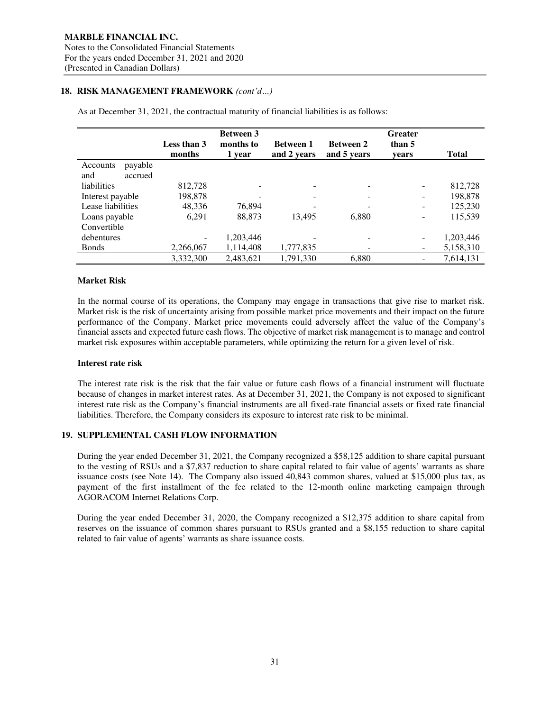# **18. RISK MANAGEMENT FRAMEWORK** *(cont'd…)*

|                     | Less than 3<br>months | <b>Between 3</b><br>months to<br>1 year | <b>Between 1</b><br>and 2 years | <b>Between 2</b><br>and 5 years | <b>Greater</b><br>than 5<br>years | <b>Total</b> |
|---------------------|-----------------------|-----------------------------------------|---------------------------------|---------------------------------|-----------------------------------|--------------|
| payable<br>Accounts |                       |                                         |                                 |                                 |                                   |              |
| accrued<br>and      |                       |                                         |                                 |                                 |                                   |              |
| liabilities         | 812,728               |                                         |                                 |                                 |                                   | 812,728      |
| Interest payable    | 198,878               |                                         |                                 |                                 |                                   | 198,878      |
| Lease liabilities   | 48.336                | 76.894                                  |                                 |                                 | $\overline{\phantom{0}}$          | 125,230      |
| Loans payable       | 6.291                 | 88.873                                  | 13.495                          | 6,880                           |                                   | 115,539      |
| Convertible         |                       |                                         |                                 |                                 |                                   |              |
| debentures          |                       | 1.203.446                               |                                 |                                 |                                   | 1.203.446    |
| <b>Bonds</b>        | 2,266,067             | 1,114,408                               | 1,777,835                       |                                 |                                   | 5,158,310    |
|                     | 3,332,300             | 2,483,621                               | 1,791,330                       | 6,880                           |                                   | 7,614,131    |

As at December 31, 2021, the contractual maturity of financial liabilities is as follows:

# **Market Risk**

In the normal course of its operations, the Company may engage in transactions that give rise to market risk. Market risk is the risk of uncertainty arising from possible market price movements and their impact on the future performance of the Company. Market price movements could adversely affect the value of the Company's financial assets and expected future cash flows. The objective of market risk management is to manage and control market risk exposures within acceptable parameters, while optimizing the return for a given level of risk.

### **Interest rate risk**

The interest rate risk is the risk that the fair value or future cash flows of a financial instrument will fluctuate because of changes in market interest rates. As at December 31, 2021, the Company is not exposed to significant interest rate risk as the Company's financial instruments are all fixed-rate financial assets or fixed rate financial liabilities. Therefore, the Company considers its exposure to interest rate risk to be minimal.

# **19. SUPPLEMENTAL CASH FLOW INFORMATION**

During the year ended December 31, 2021, the Company recognized a \$58,125 addition to share capital pursuant to the vesting of RSUs and a \$7,837 reduction to share capital related to fair value of agents' warrants as share issuance costs (see Note 14). The Company also issued 40,843 common shares, valued at \$15,000 plus tax, as payment of the first installment of the fee related to the 12-month online marketing campaign through AGORACOM Internet Relations Corp.

During the year ended December 31, 2020, the Company recognized a \$12,375 addition to share capital from reserves on the issuance of common shares pursuant to RSUs granted and a \$8,155 reduction to share capital related to fair value of agents' warrants as share issuance costs.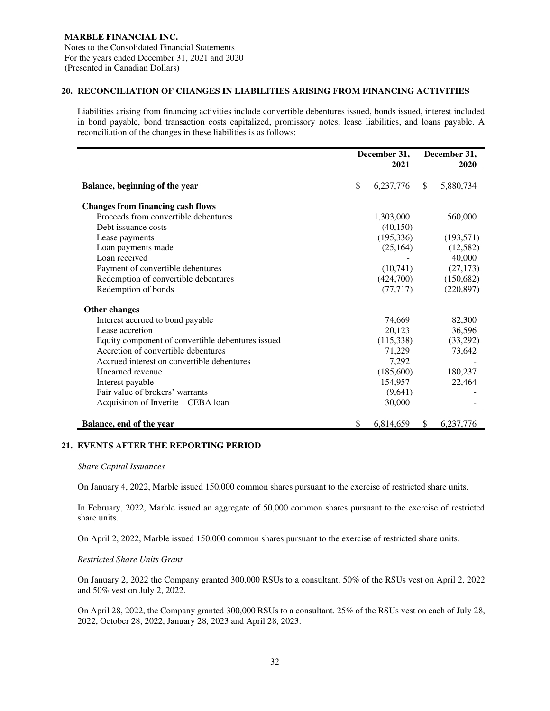# **20. RECONCILIATION OF CHANGES IN LIABILITIES ARISING FROM FINANCING ACTIVITIES**

Liabilities arising from financing activities include convertible debentures issued, bonds issued, interest included in bond payable, bond transaction costs capitalized, promissory notes, lease liabilities, and loans payable. A reconciliation of the changes in these liabilities is as follows:

|                                                   | December 31,<br>2021 |            | December 31,<br>2020 |            |
|---------------------------------------------------|----------------------|------------|----------------------|------------|
|                                                   |                      |            |                      |            |
| Balance, beginning of the year                    | \$                   | 6,237,776  | $\mathbb{S}$         | 5,880,734  |
| <b>Changes from financing cash flows</b>          |                      |            |                      |            |
| Proceeds from convertible debentures              |                      | 1,303,000  |                      | 560,000    |
| Debt issuance costs                               |                      | (40,150)   |                      |            |
| Lease payments                                    |                      | (195, 336) |                      | (193, 571) |
| Loan payments made                                |                      | (25, 164)  |                      | (12,582)   |
| Loan received                                     |                      |            |                      | 40,000     |
| Payment of convertible debentures                 |                      | (10,741)   |                      | (27, 173)  |
| Redemption of convertible debentures              |                      | (424,700)  |                      | (150, 682) |
| Redemption of bonds                               |                      | (77, 717)  |                      | (220, 897) |
| Other changes                                     |                      |            |                      |            |
| Interest accrued to bond payable                  |                      | 74,669     |                      | 82,300     |
| Lease accretion                                   |                      | 20,123     |                      | 36,596     |
| Equity component of convertible debentures issued |                      | (115,338)  |                      | (33,292)   |
| Accretion of convertible debentures               |                      | 71,229     |                      | 73,642     |
| Accrued interest on convertible debentures        |                      | 7,292      |                      |            |
| Unearned revenue                                  |                      | (185,600)  |                      | 180,237    |
| Interest payable                                  |                      | 154,957    |                      | 22,464     |
| Fair value of brokers' warrants                   |                      | (9,641)    |                      |            |
| Acquisition of Inverite - CEBA loan               |                      | 30,000     |                      |            |
|                                                   |                      |            |                      |            |
| Balance, end of the year                          | \$                   | 6,814,659  | \$                   | 6,237,776  |

### **21. EVENTS AFTER THE REPORTING PERIOD**

#### *Share Capital Issuances*

On January 4, 2022, Marble issued 150,000 common shares pursuant to the exercise of restricted share units.

In February, 2022, Marble issued an aggregate of 50,000 common shares pursuant to the exercise of restricted share units.

On April 2, 2022, Marble issued 150,000 common shares pursuant to the exercise of restricted share units.

#### *Restricted Share Units Grant*

On January 2, 2022 the Company granted 300,000 RSUs to a consultant. 50% of the RSUs vest on April 2, 2022 and 50% vest on July 2, 2022.

On April 28, 2022, the Company granted 300,000 RSUs to a consultant. 25% of the RSUs vest on each of July 28, 2022, October 28, 2022, January 28, 2023 and April 28, 2023.